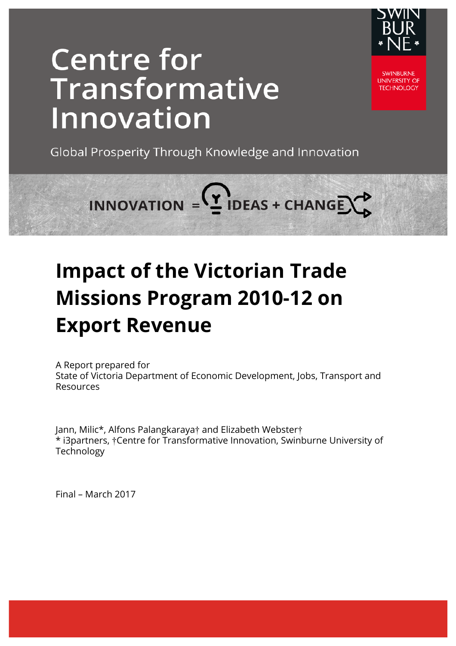

# **Centre for** Transformative Innovation

**SWINBURNE UNIVERSITY OF TECHNOLOGY** 

Global Prosperity Through Knowledge and Innovation

INNOVATION =  $($ <sup>y</sup> IDEAS + CHANGE)

## **Impact of the Victorian Trade Missions Program 2010-12 on Export Revenue**

A Report prepared for State of Victoria Department of Economic Development, Jobs, Transport and Resources

Jann, Milic\*, Alfons Palangkaraya† and Elizabeth Webster† \* i3partners, †Centre for Transformative Innovation, Swinburne University of **Technology** 

Final – March 2017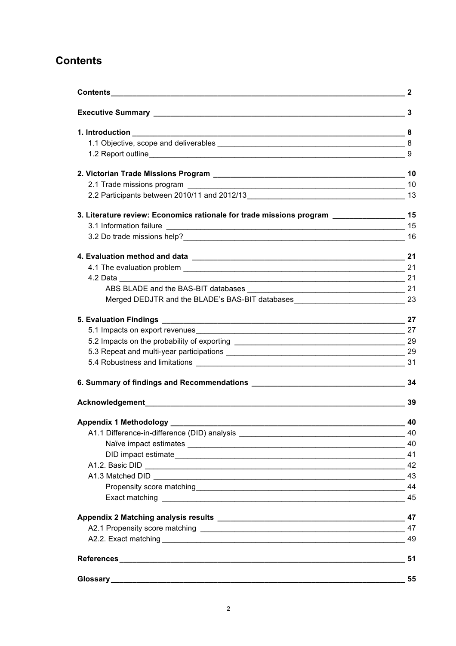## **Contents**

|                                                                                             | 3  |
|---------------------------------------------------------------------------------------------|----|
|                                                                                             |    |
|                                                                                             |    |
|                                                                                             |    |
|                                                                                             |    |
|                                                                                             |    |
|                                                                                             |    |
| 3. Literature review: Economics rationale for trade missions program ___________________ 15 |    |
|                                                                                             |    |
|                                                                                             |    |
|                                                                                             |    |
|                                                                                             |    |
| $\overline{\phantom{a}21}$                                                                  |    |
|                                                                                             |    |
| Merged DEDJTR and the BLADE's BAS-BIT databases_________________________________23          |    |
|                                                                                             | 27 |
|                                                                                             |    |
|                                                                                             |    |
|                                                                                             |    |
|                                                                                             |    |
|                                                                                             |    |
|                                                                                             | 39 |
|                                                                                             |    |
|                                                                                             |    |
|                                                                                             |    |
| DID impact estimate 41                                                                      |    |
|                                                                                             |    |
|                                                                                             | 43 |
|                                                                                             |    |
|                                                                                             | 45 |
|                                                                                             |    |
|                                                                                             |    |
|                                                                                             |    |
|                                                                                             | 51 |
|                                                                                             | 55 |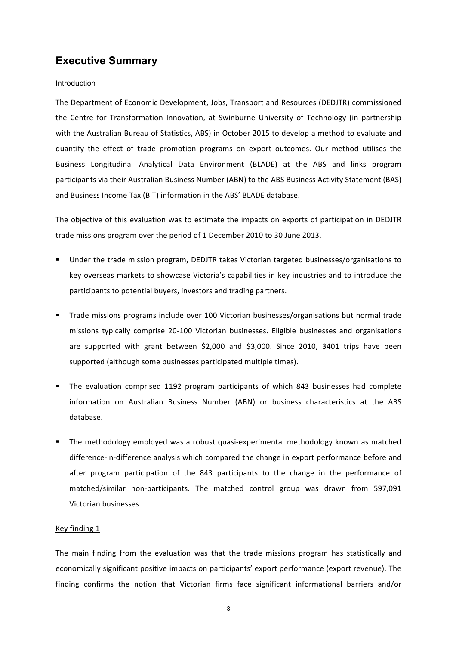## **Executive Summary**

#### Introduction

The Department of Economic Development, Jobs, Transport and Resources (DEDJTR) commissioned the Centre for Transformation Innovation, at Swinburne University of Technology (in partnership with the Australian Bureau of Statistics, ABS) in October 2015 to develop a method to evaluate and quantify the effect of trade promotion programs on export outcomes. Our method utilises the Business Longitudinal Analytical Data Environment (BLADE) at the ABS and links program participants via their Australian Business Number (ABN) to the ABS Business Activity Statement (BAS) and Business Income Tax (BIT) information in the ABS' BLADE database.

The objective of this evaluation was to estimate the impacts on exports of participation in DEDJTR trade missions program over the period of 1 December 2010 to 30 June 2013.

- Under the trade mission program, DEDJTR takes Victorian targeted businesses/organisations to key overseas markets to showcase Victoria's capabilities in key industries and to introduce the participants to potential buyers, investors and trading partners.
- Trade missions programs include over 100 Victorian businesses/organisations but normal trade missions typically comprise 20-100 Victorian businesses. Eligible businesses and organisations are supported with grant between \$2,000 and \$3,000. Since 2010, 3401 trips have been supported (although some businesses participated multiple times).
- The evaluation comprised 1192 program participants of which 843 businesses had complete information on Australian Business Number (ABN) or business characteristics at the ABS database.
- The methodology employed was a robust quasi-experimental methodology known as matched difference-in-difference analysis which compared the change in export performance before and after program participation of the 843 participants to the change in the performance of matched/similar non-participants. The matched control group was drawn from 597,091 Victorian businesses.

#### Key finding 1

The main finding from the evaluation was that the trade missions program has statistically and economically significant positive impacts on participants' export performance (export revenue). The finding confirms the notion that Victorian firms face significant informational barriers and/or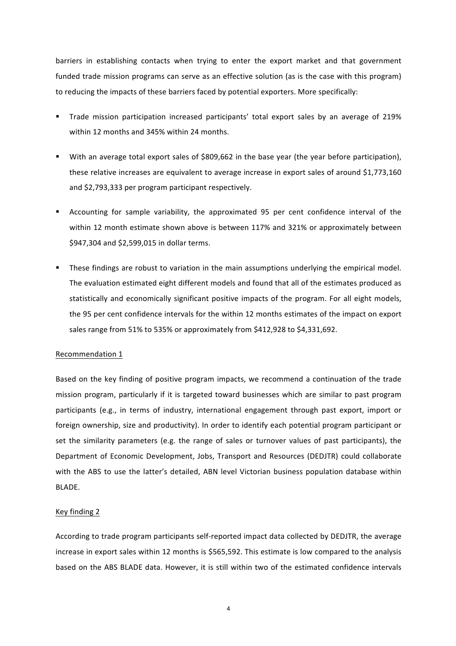barriers in establishing contacts when trying to enter the export market and that government funded trade mission programs can serve as an effective solution (as is the case with this program) to reducing the impacts of these barriers faced by potential exporters. More specifically:

- Trade mission participation increased participants' total export sales by an average of 219% within 12 months and 345% within 24 months.
- With an average total export sales of \$809,662 in the base year (the year before participation), these relative increases are equivalent to average increase in export sales of around \$1,773,160 and \$2,793,333 per program participant respectively.
- Accounting for sample variability, the approximated 95 per cent confidence interval of the within 12 month estimate shown above is between 117% and 321% or approximately between \$947,304 and \$2,599,015 in dollar terms.
- **•** These findings are robust to variation in the main assumptions underlying the empirical model. The evaluation estimated eight different models and found that all of the estimates produced as statistically and economically significant positive impacts of the program. For all eight models, the 95 per cent confidence intervals for the within 12 months estimates of the impact on export sales range from 51% to 535% or approximately from \$412,928 to \$4,331,692.

#### Recommendation 1

Based on the key finding of positive program impacts, we recommend a continuation of the trade mission program, particularly if it is targeted toward businesses which are similar to past program participants (e.g., in terms of industry, international engagement through past export, import or foreign ownership, size and productivity). In order to identify each potential program participant or set the similarity parameters (e.g. the range of sales or turnover values of past participants), the Department of Economic Development, Jobs, Transport and Resources (DEDJTR) could collaborate with the ABS to use the latter's detailed, ABN level Victorian business population database within BLADE.

#### Key finding 2

According to trade program participants self-reported impact data collected by DEDJTR, the average increase in export sales within 12 months is \$565,592. This estimate is low compared to the analysis based on the ABS BLADE data. However, it is still within two of the estimated confidence intervals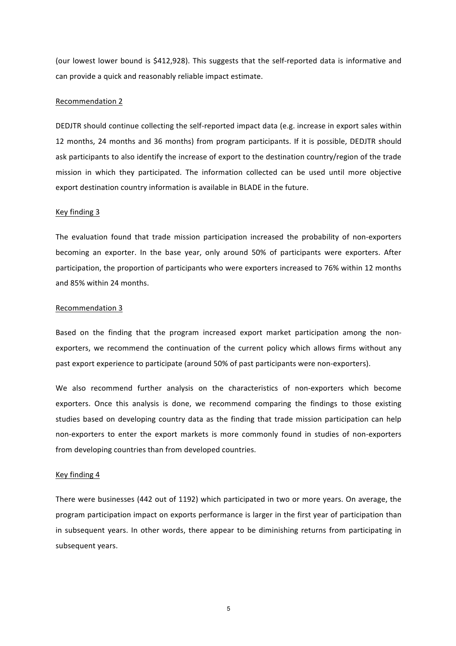(our lowest lower bound is \$412,928). This suggests that the self-reported data is informative and can provide a quick and reasonably reliable impact estimate.

#### Recommendation 2

DEDJTR should continue collecting the self-reported impact data (e.g. increase in export sales within 12 months, 24 months and 36 months) from program participants. If it is possible, DEDJTR should ask participants to also identify the increase of export to the destination country/region of the trade mission in which they participated. The information collected can be used until more objective export destination country information is available in BLADE in the future.

#### Key finding 3

The evaluation found that trade mission participation increased the probability of non-exporters becoming an exporter. In the base year, only around 50% of participants were exporters. After participation, the proportion of participants who were exporters increased to 76% within 12 months and 85% within 24 months.

#### Recommendation 3

Based on the finding that the program increased export market participation among the nonexporters, we recommend the continuation of the current policy which allows firms without any past export experience to participate (around 50% of past participants were non-exporters).

We also recommend further analysis on the characteristics of non-exporters which become exporters. Once this analysis is done, we recommend comparing the findings to those existing studies based on developing country data as the finding that trade mission participation can help non-exporters to enter the export markets is more commonly found in studies of non-exporters from developing countries than from developed countries.

#### Key finding 4

There were businesses (442 out of 1192) which participated in two or more years. On average, the program participation impact on exports performance is larger in the first year of participation than in subsequent years. In other words, there appear to be diminishing returns from participating in subsequent years.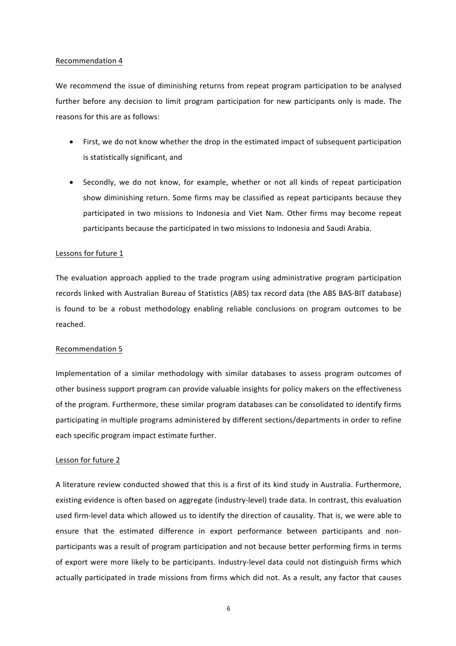#### Recommendation 4

We recommend the issue of diminishing returns from repeat program participation to be analysed further before any decision to limit program participation for new participants only is made. The reasons for this are as follows:

- First, we do not know whether the drop in the estimated impact of subsequent participation is statistically significant, and
- Secondly, we do not know, for example, whether or not all kinds of repeat participation show diminishing return. Some firms may be classified as repeat participants because they participated in two missions to Indonesia and Viet Nam. Other firms may become repeat participants because the participated in two missions to Indonesia and Saudi Arabia.

#### Lessons for future 1

The evaluation approach applied to the trade program using administrative program participation records linked with Australian Bureau of Statistics (ABS) tax record data (the ABS BAS-BIT database) is found to be a robust methodology enabling reliable conclusions on program outcomes to be reached. 

#### Recommendation 5

Implementation of a similar methodology with similar databases to assess program outcomes of other business support program can provide valuable insights for policy makers on the effectiveness of the program. Furthermore, these similar program databases can be consolidated to identify firms participating in multiple programs administered by different sections/departments in order to refine each specific program impact estimate further.

#### Lesson for future 2

A literature review conducted showed that this is a first of its kind study in Australia. Furthermore, existing evidence is often based on aggregate (industry-level) trade data. In contrast, this evaluation used firm-level data which allowed us to identify the direction of causality. That is, we were able to ensure that the estimated difference in export performance between participants and nonparticipants was a result of program participation and not because better performing firms in terms of export were more likely to be participants. Industry-level data could not distinguish firms which actually participated in trade missions from firms which did not. As a result, any factor that causes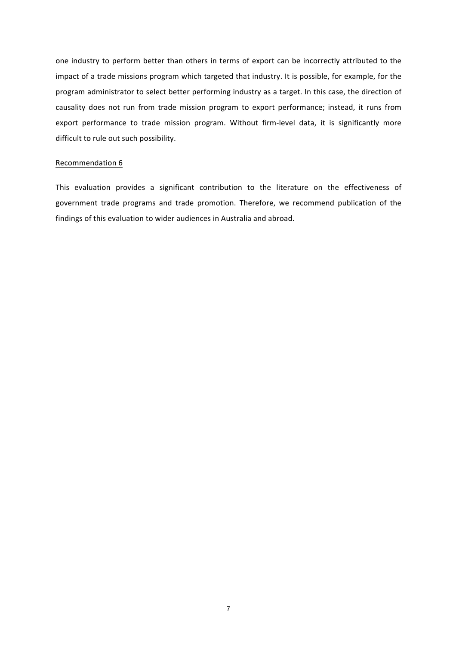one industry to perform better than others in terms of export can be incorrectly attributed to the impact of a trade missions program which targeted that industry. It is possible, for example, for the program administrator to select better performing industry as a target. In this case, the direction of causality does not run from trade mission program to export performance; instead, it runs from export performance to trade mission program. Without firm-level data, it is significantly more difficult to rule out such possibility.

#### Recommendation 6

This evaluation provides a significant contribution to the literature on the effectiveness of government trade programs and trade promotion. Therefore, we recommend publication of the findings of this evaluation to wider audiences in Australia and abroad.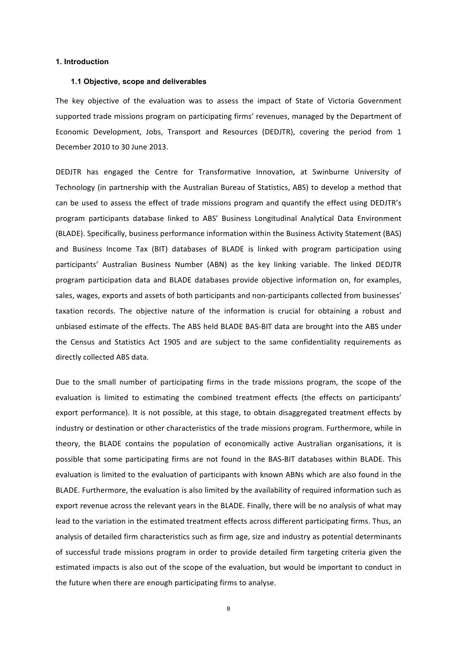#### **1. Introduction**

#### **1.1 Objective, scope and deliverables**

The key objective of the evaluation was to assess the impact of State of Victoria Government supported trade missions program on participating firms' revenues, managed by the Department of Economic Development, Jobs, Transport and Resources (DEDJTR), covering the period from 1 December 2010 to 30 June 2013.

DEDJTR has engaged the Centre for Transformative Innovation, at Swinburne University of Technology (in partnership with the Australian Bureau of Statistics, ABS) to develop a method that can be used to assess the effect of trade missions program and quantify the effect using DEDJTR's program participants database linked to ABS' Business Longitudinal Analytical Data Environment (BLADE). Specifically, business performance information within the Business Activity Statement (BAS) and Business Income Tax (BIT) databases of BLADE is linked with program participation using participants' Australian Business Number (ABN) as the key linking variable. The linked DEDJTR program participation data and BLADE databases provide objective information on, for examples, sales, wages, exports and assets of both participants and non-participants collected from businesses' taxation records. The objective nature of the information is crucial for obtaining a robust and unbiased estimate of the effects. The ABS held BLADE BAS-BIT data are brought into the ABS under the Census and Statistics Act 1905 and are subject to the same confidentiality requirements as directly collected ABS data.

Due to the small number of participating firms in the trade missions program, the scope of the evaluation is limited to estimating the combined treatment effects (the effects on participants' export performance). It is not possible, at this stage, to obtain disaggregated treatment effects by industry or destination or other characteristics of the trade missions program. Furthermore, while in theory, the BLADE contains the population of economically active Australian organisations, it is possible that some participating firms are not found in the BAS-BIT databases within BLADE. This evaluation is limited to the evaluation of participants with known ABNs which are also found in the BLADE. Furthermore, the evaluation is also limited by the availability of required information such as export revenue across the relevant years in the BLADE. Finally, there will be no analysis of what may lead to the variation in the estimated treatment effects across different participating firms. Thus, an analysis of detailed firm characteristics such as firm age, size and industry as potential determinants of successful trade missions program in order to provide detailed firm targeting criteria given the estimated impacts is also out of the scope of the evaluation, but would be important to conduct in the future when there are enough participating firms to analyse.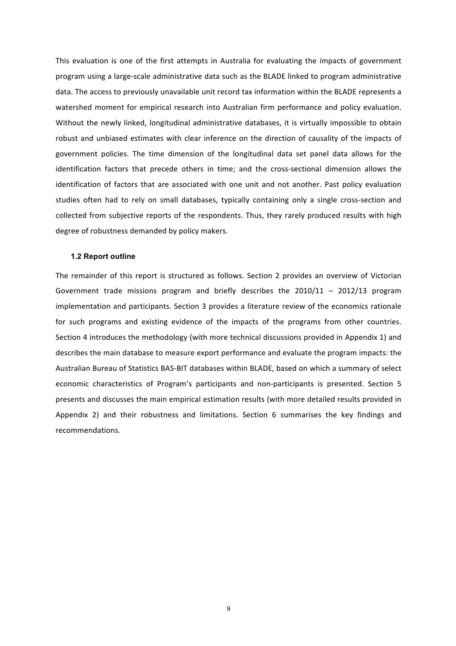This evaluation is one of the first attempts in Australia for evaluating the impacts of government program using a large-scale administrative data such as the BLADE linked to program administrative data. The access to previously unavailable unit record tax information within the BLADE represents a watershed moment for empirical research into Australian firm performance and policy evaluation. Without the newly linked, longitudinal administrative databases, it is virtually impossible to obtain robust and unbiased estimates with clear inference on the direction of causality of the impacts of government policies. The time dimension of the longitudinal data set panel data allows for the identification factors that precede others in time; and the cross-sectional dimension allows the identification of factors that are associated with one unit and not another. Past policy evaluation studies often had to rely on small databases, typically containing only a single cross-section and collected from subjective reports of the respondents. Thus, they rarely produced results with high degree of robustness demanded by policy makers.

#### **1.2 Report outline**

The remainder of this report is structured as follows. Section 2 provides an overview of Victorian Government trade missions program and briefly describes the  $2010/11 - 2012/13$  program implementation and participants. Section 3 provides a literature review of the economics rationale for such programs and existing evidence of the impacts of the programs from other countries. Section 4 introduces the methodology (with more technical discussions provided in Appendix 1) and describes the main database to measure export performance and evaluate the program impacts: the Australian Bureau of Statistics BAS-BIT databases within BLADE, based on which a summary of select economic characteristics of Program's participants and non-participants is presented. Section 5 presents and discusses the main empirical estimation results (with more detailed results provided in Appendix 2) and their robustness and limitations. Section 6 summarises the key findings and recommendations.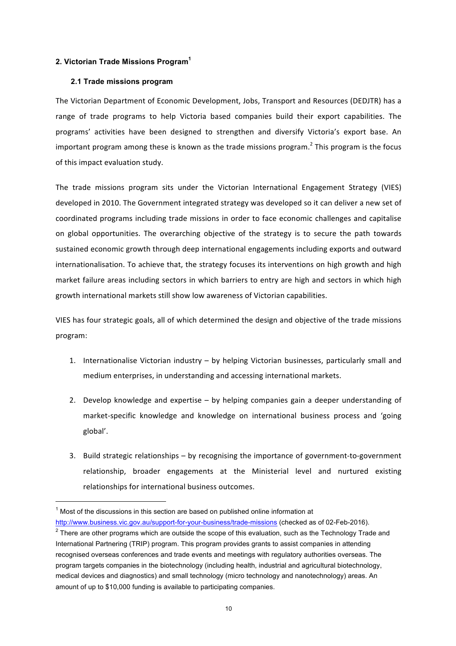#### **2. Victorian Trade Missions Program<sup>1</sup>**

#### **2.1 Trade missions program**

The Victorian Department of Economic Development, Jobs, Transport and Resources (DEDJTR) has a range of trade programs to help Victoria based companies build their export capabilities. The programs' activities have been designed to strengthen and diversify Victoria's export base. An important program among these is known as the trade missions program.<sup>2</sup> This program is the focus of this impact evaluation study.

The trade missions program sits under the Victorian International Engagement Strategy (VIES) developed in 2010. The Government integrated strategy was developed so it can deliver a new set of coordinated programs including trade missions in order to face economic challenges and capitalise on global opportunities. The overarching objective of the strategy is to secure the path towards sustained economic growth through deep international engagements including exports and outward internationalisation. To achieve that, the strategy focuses its interventions on high growth and high market failure areas including sectors in which barriers to entry are high and sectors in which high growth international markets still show low awareness of Victorian capabilities.

VIES has four strategic goals, all of which determined the design and objective of the trade missions program: 

- 1. Internationalise Victorian industry by helping Victorian businesses, particularly small and medium enterprises, in understanding and accessing international markets.
- 2. Develop knowledge and expertise  $-$  by helping companies gain a deeper understanding of market-specific knowledge and knowledge on international business process and 'going global'.
- 3. Build strategic relationships by recognising the importance of government-to-government relationship, broader engagements at the Ministerial level and nurtured existing relationships for international business outcomes.

 $1$  Most of the discussions in this section are based on published online information at

http://www.business.vic.gov.au/support-for-your-business/trade-missions (checked as of 02-Feb-2016).  $2$  There are other programs which are outside the scope of this evaluation, such as the Technology Trade and International Partnering (TRIP) program. This program provides grants to assist companies in attending recognised overseas conferences and trade events and meetings with regulatory authorities overseas. The program targets companies in the biotechnology (including health, industrial and agricultural biotechnology, medical devices and diagnostics) and small technology (micro technology and nanotechnology) areas. An amount of up to \$10,000 funding is available to participating companies.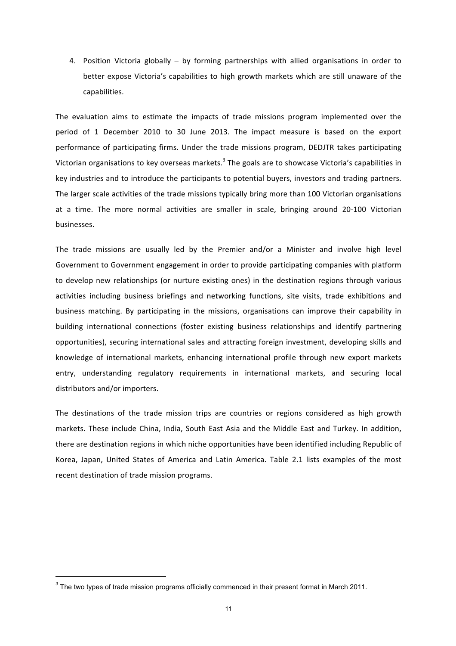4. Position Victoria globally – by forming partnerships with allied organisations in order to better expose Victoria's capabilities to high growth markets which are still unaware of the capabilities.

The evaluation aims to estimate the impacts of trade missions program implemented over the period of 1 December 2010 to 30 June 2013. The impact measure is based on the export performance of participating firms. Under the trade missions program, DEDJTR takes participating Victorian organisations to key overseas markets.<sup>3</sup> The goals are to showcase Victoria's capabilities in key industries and to introduce the participants to potential buyers, investors and trading partners. The larger scale activities of the trade missions typically bring more than 100 Victorian organisations at a time. The more normal activities are smaller in scale, bringing around 20-100 Victorian businesses.

The trade missions are usually led by the Premier and/or a Minister and involve high level Government to Government engagement in order to provide participating companies with platform to develop new relationships (or nurture existing ones) in the destination regions through various activities including business briefings and networking functions, site visits, trade exhibitions and business matching. By participating in the missions, organisations can improve their capability in building international connections (foster existing business relationships and identify partnering opportunities), securing international sales and attracting foreign investment, developing skills and knowledge of international markets, enhancing international profile through new export markets entry, understanding regulatory requirements in international markets, and securing local distributors and/or importers.

The destinations of the trade mission trips are countries or regions considered as high growth markets. These include China, India, South East Asia and the Middle East and Turkey. In addition, there are destination regions in which niche opportunities have been identified including Republic of Korea, Japan, United States of America and Latin America. Table 2.1 lists examples of the most recent destination of trade mission programs.

<sup>&</sup>lt;sup>3</sup> The two types of trade mission programs officially commenced in their present format in March 2011.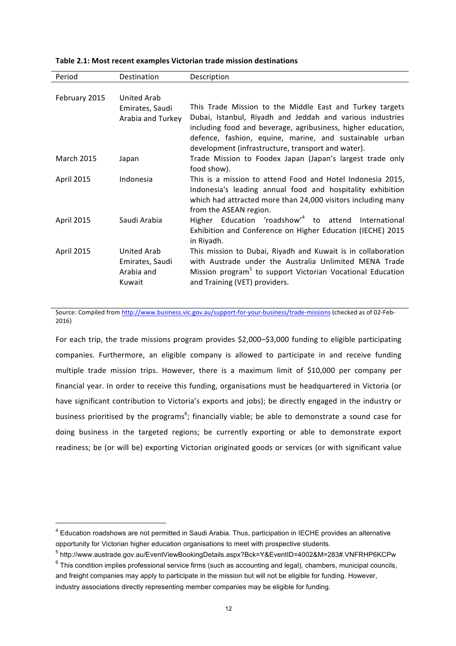| Period            | <b>Destination</b> | Description                                                            |
|-------------------|--------------------|------------------------------------------------------------------------|
|                   |                    |                                                                        |
| February 2015     | <b>United Arab</b> |                                                                        |
|                   | Emirates, Saudi    | This Trade Mission to the Middle East and Turkey targets               |
|                   | Arabia and Turkey  | Dubai, Istanbul, Riyadh and Jeddah and various industries              |
|                   |                    | including food and beverage, agribusiness, higher education,           |
|                   |                    | defence, fashion, equine, marine, and sustainable urban                |
|                   |                    | development (infrastructure, transport and water).                     |
| <b>March 2015</b> | Japan              | Trade Mission to Foodex Japan (Japan's largest trade only              |
|                   |                    | food show).                                                            |
| April 2015        | Indonesia          | This is a mission to attend Food and Hotel Indonesia 2015,             |
|                   |                    | Indonesia's leading annual food and hospitality exhibition             |
|                   |                    | which had attracted more than 24,000 visitors including many           |
|                   |                    | from the ASEAN region.                                                 |
| April 2015        | Saudi Arabia       | Higher Education 'roadshow' <sup>4</sup> to attend International       |
|                   |                    | Exhibition and Conference on Higher Education (IECHE) 2015             |
|                   |                    | in Riyadh.                                                             |
| April 2015        | <b>United Arab</b> | This mission to Dubai, Riyadh and Kuwait is in collaboration           |
|                   | Emirates, Saudi    | with Austrade under the Australia Unlimited MENA Trade                 |
|                   | Arabia and         | Mission program <sup>5</sup> to support Victorian Vocational Education |
|                   | Kuwait             | and Training (VET) providers.                                          |
|                   |                    |                                                                        |

| Table 2.1: Most recent examples Victorian trade mission destinations |  |  |  |
|----------------------------------------------------------------------|--|--|--|
|----------------------------------------------------------------------|--|--|--|

Source: Compiled from http://www.business.vic.gov.au/support-for-your-business/trade-missions (checked as of 02-Feb-2016) 

For each trip, the trade missions program provides \$2,000-\$3,000 funding to eligible participating companies. Furthermore, an eligible company is allowed to participate in and receive funding multiple trade mission trips. However, there is a maximum limit of \$10,000 per company per financial year. In order to receive this funding, organisations must be headquartered in Victoria (or have significant contribution to Victoria's exports and jobs); be directly engaged in the industry or business prioritised by the programs<sup>6</sup>; financially viable; be able to demonstrate a sound case for doing business in the targeted regions; be currently exporting or able to demonstrate export readiness; be (or will be) exporting Victorian originated goods or services (or with significant value

<sup>&</sup>lt;sup>4</sup> Education roadshows are not permitted in Saudi Arabia. Thus, participation in IECHE provides an alternative opportunity for Victorian higher education organisations to meet with prospective students.

<sup>5</sup> http://www.austrade.gov.au/EventViewBookingDetails.aspx?Bck=Y&EventID=4002&M=283#.VNFRHP6KCPw

 $6$  This condition implies professional service firms (such as accounting and legal), chambers, municipal councils, and freight companies may apply to participate in the mission but will not be eligible for funding. However, industry associations directly representing member companies may be eligible for funding.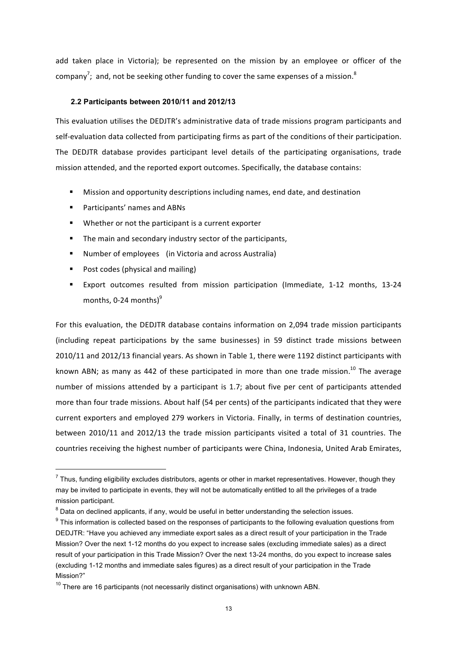add taken place in Victoria); be represented on the mission by an employee or officer of the company<sup>7</sup>; and, not be seeking other funding to cover the same expenses of a mission.<sup>8</sup>

#### **2.2 Participants between 2010/11 and 2012/13**

This evaluation utilises the DEDJTR's administrative data of trade missions program participants and self-evaluation data collected from participating firms as part of the conditions of their participation. The DEDJTR database provides participant level details of the participating organisations, trade mission attended, and the reported export outcomes. Specifically, the database contains:

- **■** Mission and opportunity descriptions including names, end date, and destination
- Participants' names and ABNs
- Whether or not the participant is a current exporter
- The main and secondary industry sector of the participants,
- Number of employees (in Victoria and across Australia)
- Post codes (physical and mailing)
- Export outcomes resulted from mission participation (Immediate, 1-12 months, 13-24 months, 0-24 months) $9$

For this evaluation, the DEDJTR database contains information on 2,094 trade mission participants (including repeat participations by the same businesses) in 59 distinct trade missions between 2010/11 and 2012/13 financial years. As shown in Table 1, there were 1192 distinct participants with known ABN; as many as 442 of these participated in more than one trade mission.<sup>10</sup> The average number of missions attended by a participant is 1.7; about five per cent of participants attended more than four trade missions. About half (54 per cents) of the participants indicated that they were current exporters and employed 279 workers in Victoria. Finally, in terms of destination countries, between 2010/11 and 2012/13 the trade mission participants visited a total of 31 countries. The countries receiving the highest number of participants were China, Indonesia, United Arab Emirates,

 $7$  Thus, funding eligibility excludes distributors, agents or other in market representatives. However, though they may be invited to participate in events, they will not be automatically entitled to all the privileges of a trade mission participant.

 $8$  Data on declined applicants, if any, would be useful in better understanding the selection issues.

 $9$  This information is collected based on the responses of participants to the following evaluation questions from DEDJTR: "Have you achieved any immediate export sales as a direct result of your participation in the Trade Mission? Over the next 1-12 months do you expect to increase sales (excluding immediate sales) as a direct result of your participation in this Trade Mission? Over the next 13-24 months, do you expect to increase sales (excluding 1-12 months and immediate sales figures) as a direct result of your participation in the Trade Mission?"

 $10$  There are 16 participants (not necessarily distinct organisations) with unknown ABN.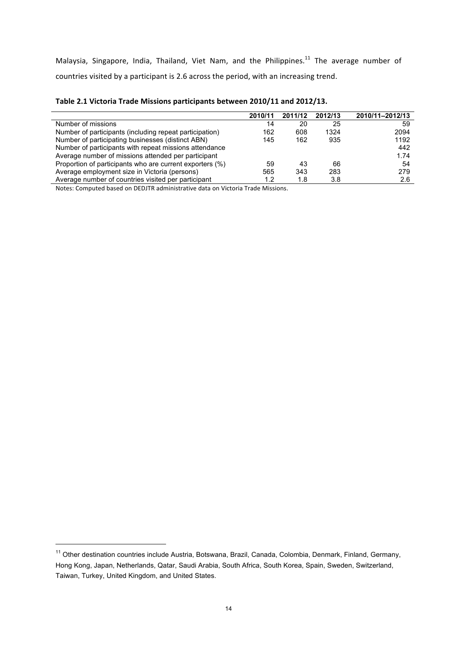Malaysia, Singapore, India, Thailand, Viet Nam, and the Philippines.<sup>11</sup> The average number of countries visited by a participant is 2.6 across the period, with an increasing trend.

| Table 2.1 Victoria Trade Missions participants between 2010/11 and 2012/13. |  |
|-----------------------------------------------------------------------------|--|
|-----------------------------------------------------------------------------|--|

|                                                          | 2010/11 | 2011/12 | 2012/13 | 2010/11-2012/13 |
|----------------------------------------------------------|---------|---------|---------|-----------------|
| Number of missions                                       | 14      | 20      | 25      | 59              |
| Number of participants (including repeat participation)  | 162     | 608     | 1324    | 2094            |
| Number of participating businesses (distinct ABN)        | 145     | 162     | 935     | 1192            |
| Number of participants with repeat missions attendance   |         |         |         | 442             |
| Average number of missions attended per participant      |         |         |         | 1.74            |
| Proportion of participants who are current exporters (%) | 59      | 43      | 66      | 54              |
| Average employment size in Victoria (persons)            | 565     | 343     | 283     | 279             |
| Average number of countries visited per participant      |         | 1.8     | 3.8     | 2.6             |

Notes: Computed based on DEDJTR administrative data on Victoria Trade Missions.

<sup>&</sup>lt;sup>11</sup> Other destination countries include Austria, Botswana, Brazil, Canada, Colombia, Denmark, Finland, Germany, Hong Kong, Japan, Netherlands, Qatar, Saudi Arabia, South Africa, South Korea, Spain, Sweden, Switzerland, Taiwan, Turkey, United Kingdom, and United States.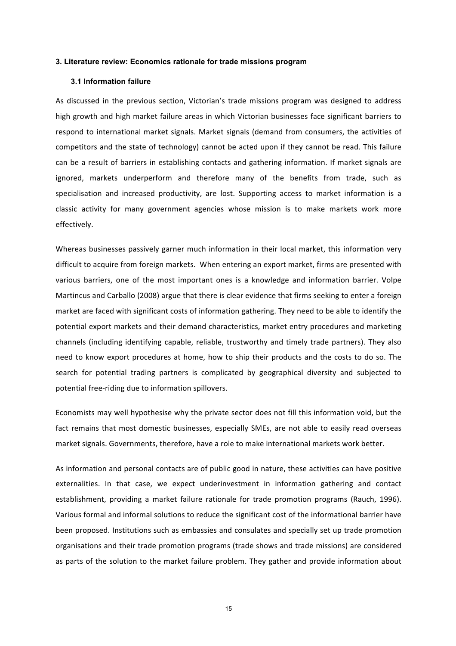#### **3. Literature review: Economics rationale for trade missions program**

#### **3.1 Information failure**

As discussed in the previous section, Victorian's trade missions program was designed to address high growth and high market failure areas in which Victorian businesses face significant barriers to respond to international market signals. Market signals (demand from consumers, the activities of competitors and the state of technology) cannot be acted upon if they cannot be read. This failure can be a result of barriers in establishing contacts and gathering information. If market signals are ignored, markets underperform and therefore many of the benefits from trade, such as specialisation and increased productivity, are lost. Supporting access to market information is a classic activity for many government agencies whose mission is to make markets work more effectively.

Whereas businesses passively garner much information in their local market, this information very difficult to acquire from foreign markets. When entering an export market, firms are presented with various barriers, one of the most important ones is a knowledge and information barrier. Volpe Martincus and Carballo (2008) argue that there is clear evidence that firms seeking to enter a foreign market are faced with significant costs of information gathering. They need to be able to identify the potential export markets and their demand characteristics, market entry procedures and marketing channels (including identifying capable, reliable, trustworthy and timely trade partners). They also need to know export procedures at home, how to ship their products and the costs to do so. The search for potential trading partners is complicated by geographical diversity and subjected to potential free-riding due to information spillovers.

Economists may well hypothesise why the private sector does not fill this information void, but the fact remains that most domestic businesses, especially SMEs, are not able to easily read overseas market signals. Governments, therefore, have a role to make international markets work better.

As information and personal contacts are of public good in nature, these activities can have positive externalities. In that case, we expect underinvestment in information gathering and contact establishment, providing a market failure rationale for trade promotion programs (Rauch, 1996). Various formal and informal solutions to reduce the significant cost of the informational barrier have been proposed. Institutions such as embassies and consulates and specially set up trade promotion organisations and their trade promotion programs (trade shows and trade missions) are considered as parts of the solution to the market failure problem. They gather and provide information about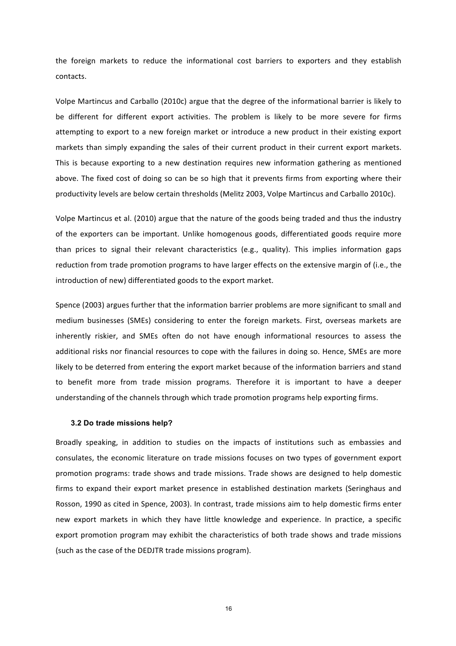the foreign markets to reduce the informational cost barriers to exporters and they establish contacts. 

Volpe Martincus and Carballo (2010c) argue that the degree of the informational barrier is likely to be different for different export activities. The problem is likely to be more severe for firms attempting to export to a new foreign market or introduce a new product in their existing export markets than simply expanding the sales of their current product in their current export markets. This is because exporting to a new destination requires new information gathering as mentioned above. The fixed cost of doing so can be so high that it prevents firms from exporting where their productivity levels are below certain thresholds (Melitz 2003, Volpe Martincus and Carballo 2010c).

Volpe Martincus et al. (2010) argue that the nature of the goods being traded and thus the industry of the exporters can be important. Unlike homogenous goods, differentiated goods require more than prices to signal their relevant characteristics (e.g., quality). This implies information gaps reduction from trade promotion programs to have larger effects on the extensive margin of (i.e., the introduction of new) differentiated goods to the export market.

Spence (2003) argues further that the information barrier problems are more significant to small and medium businesses (SMEs) considering to enter the foreign markets. First, overseas markets are inherently riskier, and SMEs often do not have enough informational resources to assess the additional risks nor financial resources to cope with the failures in doing so. Hence, SMEs are more likely to be deterred from entering the export market because of the information barriers and stand to benefit more from trade mission programs. Therefore it is important to have a deeper understanding of the channels through which trade promotion programs help exporting firms.

#### **3.2 Do trade missions help?**

Broadly speaking, in addition to studies on the impacts of institutions such as embassies and consulates, the economic literature on trade missions focuses on two types of government export promotion programs: trade shows and trade missions. Trade shows are designed to help domestic firms to expand their export market presence in established destination markets (Seringhaus and Rosson, 1990 as cited in Spence, 2003). In contrast, trade missions aim to help domestic firms enter new export markets in which they have little knowledge and experience. In practice, a specific export promotion program may exhibit the characteristics of both trade shows and trade missions (such as the case of the DEDJTR trade missions program).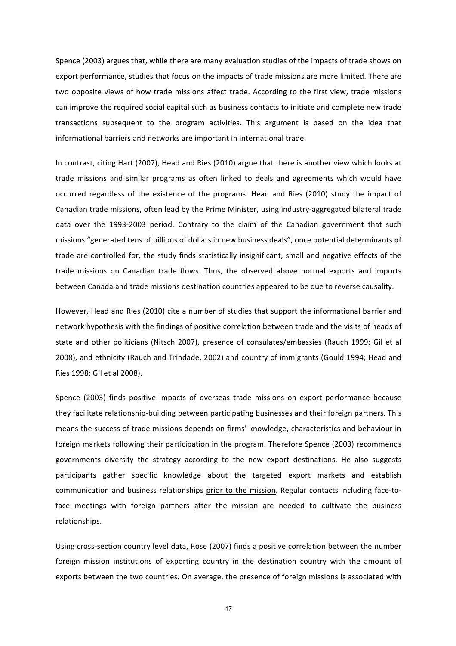Spence (2003) argues that, while there are many evaluation studies of the impacts of trade shows on export performance, studies that focus on the impacts of trade missions are more limited. There are two opposite views of how trade missions affect trade. According to the first view, trade missions can improve the required social capital such as business contacts to initiate and complete new trade transactions subsequent to the program activities. This argument is based on the idea that informational barriers and networks are important in international trade.

In contrast, citing Hart (2007), Head and Ries (2010) argue that there is another view which looks at trade missions and similar programs as often linked to deals and agreements which would have occurred regardless of the existence of the programs. Head and Ries (2010) study the impact of Canadian trade missions, often lead by the Prime Minister, using industry-aggregated bilateral trade data over the 1993-2003 period. Contrary to the claim of the Canadian government that such missions "generated tens of billions of dollars in new business deals", once potential determinants of trade are controlled for, the study finds statistically insignificant, small and negative effects of the trade missions on Canadian trade flows. Thus, the observed above normal exports and imports between Canada and trade missions destination countries appeared to be due to reverse causality.

However, Head and Ries (2010) cite a number of studies that support the informational barrier and network hypothesis with the findings of positive correlation between trade and the visits of heads of state and other politicians (Nitsch 2007), presence of consulates/embassies (Rauch 1999; Gil et al 2008), and ethnicity (Rauch and Trindade, 2002) and country of immigrants (Gould 1994; Head and Ries 1998; Gil et al 2008).

Spence (2003) finds positive impacts of overseas trade missions on export performance because they facilitate relationship-building between participating businesses and their foreign partners. This means the success of trade missions depends on firms' knowledge, characteristics and behaviour in foreign markets following their participation in the program. Therefore Spence (2003) recommends governments diversify the strategy according to the new export destinations. He also suggests participants gather specific knowledge about the targeted export markets and establish communication and business relationships prior to the mission. Regular contacts including face-toface meetings with foreign partners after the mission are needed to cultivate the business relationships.

Using cross-section country level data, Rose (2007) finds a positive correlation between the number foreign mission institutions of exporting country in the destination country with the amount of exports between the two countries. On average, the presence of foreign missions is associated with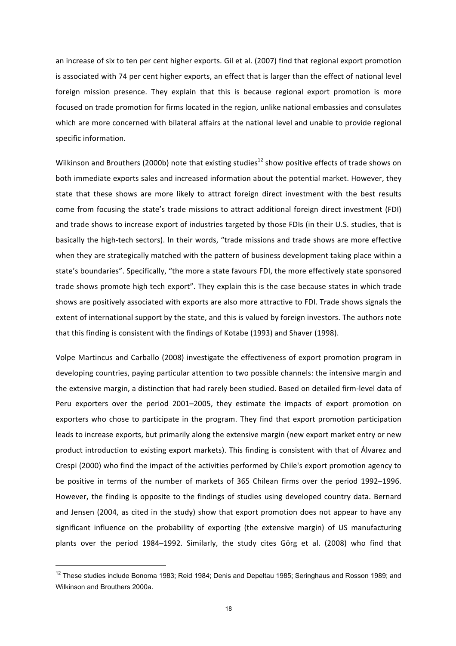an increase of six to ten per cent higher exports. Gil et al. (2007) find that regional export promotion is associated with 74 per cent higher exports, an effect that is larger than the effect of national level foreign mission presence. They explain that this is because regional export promotion is more focused on trade promotion for firms located in the region, unlike national embassies and consulates which are more concerned with bilateral affairs at the national level and unable to provide regional specific information.

Wilkinson and Brouthers (2000b) note that existing studies<sup>12</sup> show positive effects of trade shows on both immediate exports sales and increased information about the potential market. However, they state that these shows are more likely to attract foreign direct investment with the best results come from focusing the state's trade missions to attract additional foreign direct investment (FDI) and trade shows to increase export of industries targeted by those FDIs (in their U.S. studies, that is basically the high-tech sectors). In their words, "trade missions and trade shows are more effective when they are strategically matched with the pattern of business development taking place within a state's boundaries". Specifically, "the more a state favours FDI, the more effectively state sponsored trade shows promote high tech export". They explain this is the case because states in which trade shows are positively associated with exports are also more attractive to FDI. Trade shows signals the extent of international support by the state, and this is valued by foreign investors. The authors note that this finding is consistent with the findings of Kotabe (1993) and Shaver (1998).

Volpe Martincus and Carballo (2008) investigate the effectiveness of export promotion program in developing countries, paying particular attention to two possible channels: the intensive margin and the extensive margin, a distinction that had rarely been studied. Based on detailed firm-level data of Peru exporters over the period 2001–2005, they estimate the impacts of export promotion on exporters who chose to participate in the program. They find that export promotion participation leads to increase exports, but primarily along the extensive margin (new export market entry or new product introduction to existing export markets). This finding is consistent with that of Álvarez and Crespi (2000) who find the impact of the activities performed by Chile's export promotion agency to be positive in terms of the number of markets of 365 Chilean firms over the period 1992–1996. However, the finding is opposite to the findings of studies using developed country data. Bernard and Jensen (2004, as cited in the study) show that export promotion does not appear to have any significant influence on the probability of exporting (the extensive margin) of US manufacturing plants over the period 1984–1992. Similarly, the study cites Görg et al. (2008) who find that

<sup>&</sup>lt;sup>12</sup> These studies include Bonoma 1983; Reid 1984; Denis and Depeltau 1985; Seringhaus and Rosson 1989; and Wilkinson and Brouthers 2000a.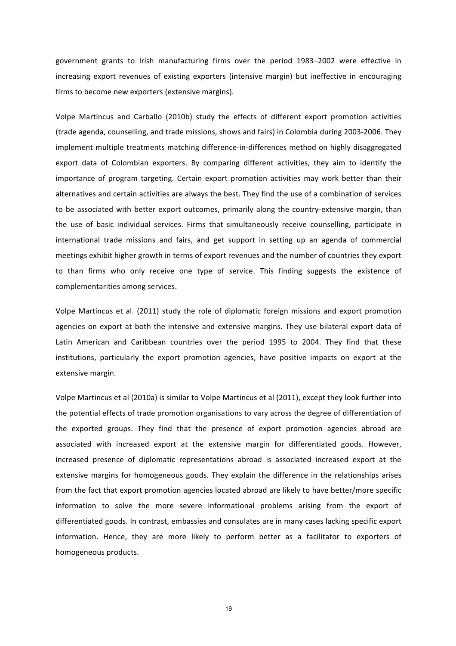government grants to Irish manufacturing firms over the period 1983–2002 were effective in increasing export revenues of existing exporters (intensive margin) but ineffective in encouraging firms to become new exporters (extensive margins).

Volpe Martincus and Carballo (2010b) study the effects of different export promotion activities (trade agenda, counselling, and trade missions, shows and fairs) in Colombia during 2003-2006. They implement multiple treatments matching difference-in-differences method on highly disaggregated export data of Colombian exporters. By comparing different activities, they aim to identify the importance of program targeting. Certain export promotion activities may work better than their alternatives and certain activities are always the best. They find the use of a combination of services to be associated with better export outcomes, primarily along the country-extensive margin, than the use of basic individual services. Firms that simultaneously receive counselling, participate in international trade missions and fairs, and get support in setting up an agenda of commercial meetings exhibit higher growth in terms of export revenues and the number of countries they export to than firms who only receive one type of service. This finding suggests the existence of complementarities among services.

Volpe Martincus et al. (2011) study the role of diplomatic foreign missions and export promotion agencies on export at both the intensive and extensive margins. They use bilateral export data of Latin American and Caribbean countries over the period 1995 to 2004. They find that these institutions, particularly the export promotion agencies, have positive impacts on export at the extensive margin.

Volpe Martincus et al (2010a) is similar to Volpe Martincus et al (2011), except they look further into the potential effects of trade promotion organisations to vary across the degree of differentiation of the exported groups. They find that the presence of export promotion agencies abroad are associated with increased export at the extensive margin for differentiated goods. However, increased presence of diplomatic representations abroad is associated increased export at the extensive margins for homogeneous goods. They explain the difference in the relationships arises from the fact that export promotion agencies located abroad are likely to have better/more specific information to solve the more severe informational problems arising from the export of differentiated goods. In contrast, embassies and consulates are in many cases lacking specific export information. Hence, they are more likely to perform better as a facilitator to exporters of homogeneous products.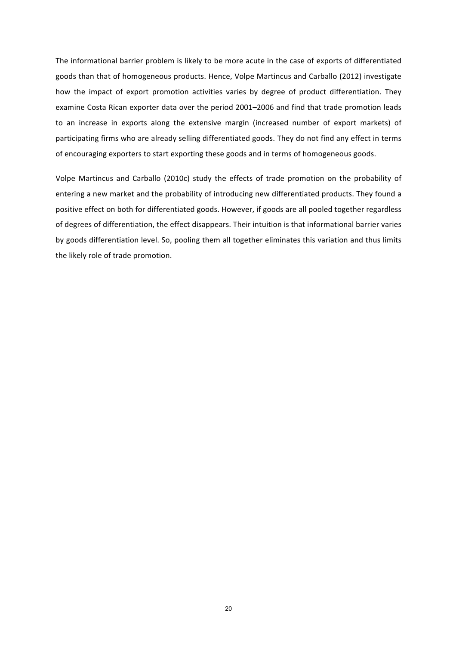The informational barrier problem is likely to be more acute in the case of exports of differentiated goods than that of homogeneous products. Hence, Volpe Martincus and Carballo (2012) investigate how the impact of export promotion activities varies by degree of product differentiation. They examine Costa Rican exporter data over the period 2001–2006 and find that trade promotion leads to an increase in exports along the extensive margin (increased number of export markets) of participating firms who are already selling differentiated goods. They do not find any effect in terms of encouraging exporters to start exporting these goods and in terms of homogeneous goods.

Volpe Martincus and Carballo (2010c) study the effects of trade promotion on the probability of entering a new market and the probability of introducing new differentiated products. They found a positive effect on both for differentiated goods. However, if goods are all pooled together regardless of degrees of differentiation, the effect disappears. Their intuition is that informational barrier varies by goods differentiation level. So, pooling them all together eliminates this variation and thus limits the likely role of trade promotion.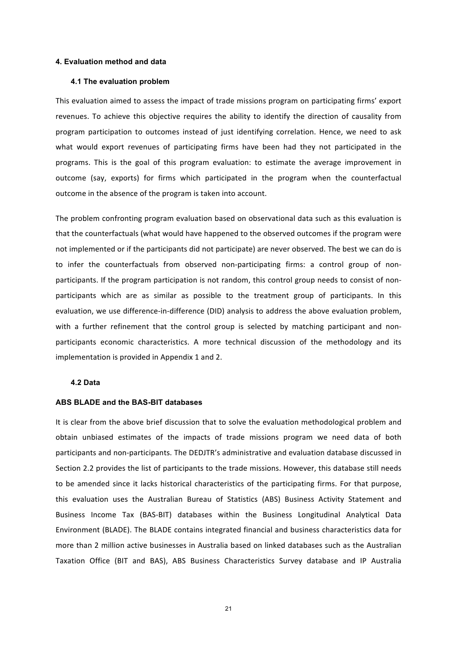#### **4. Evaluation method and data**

#### **4.1 The evaluation problem**

This evaluation aimed to assess the impact of trade missions program on participating firms' export revenues. To achieve this objective requires the ability to identify the direction of causality from program participation to outcomes instead of just identifying correlation. Hence, we need to ask what would export revenues of participating firms have been had they not participated in the programs. This is the goal of this program evaluation: to estimate the average improvement in outcome (say, exports) for firms which participated in the program when the counterfactual outcome in the absence of the program is taken into account.

The problem confronting program evaluation based on observational data such as this evaluation is that the counterfactuals (what would have happened to the observed outcomes if the program were not implemented or if the participants did not participate) are never observed. The best we can do is to infer the counterfactuals from observed non-participating firms: a control group of nonparticipants. If the program participation is not random, this control group needs to consist of nonparticipants which are as similar as possible to the treatment group of participants. In this evaluation, we use difference-in-difference (DID) analysis to address the above evaluation problem, with a further refinement that the control group is selected by matching participant and nonparticipants economic characteristics. A more technical discussion of the methodology and its implementation is provided in Appendix 1 and 2.

#### **4.2 Data**

#### **ABS BLADE and the BAS-BIT databases**

It is clear from the above brief discussion that to solve the evaluation methodological problem and obtain unbiased estimates of the impacts of trade missions program we need data of both participants and non-participants. The DEDJTR's administrative and evaluation database discussed in Section 2.2 provides the list of participants to the trade missions. However, this database still needs to be amended since it lacks historical characteristics of the participating firms. For that purpose, this evaluation uses the Australian Bureau of Statistics (ABS) Business Activity Statement and Business Income Tax (BAS-BIT) databases within the Business Longitudinal Analytical Data Environment (BLADE). The BLADE contains integrated financial and business characteristics data for more than 2 million active businesses in Australia based on linked databases such as the Australian Taxation Office (BIT and BAS), ABS Business Characteristics Survey database and IP Australia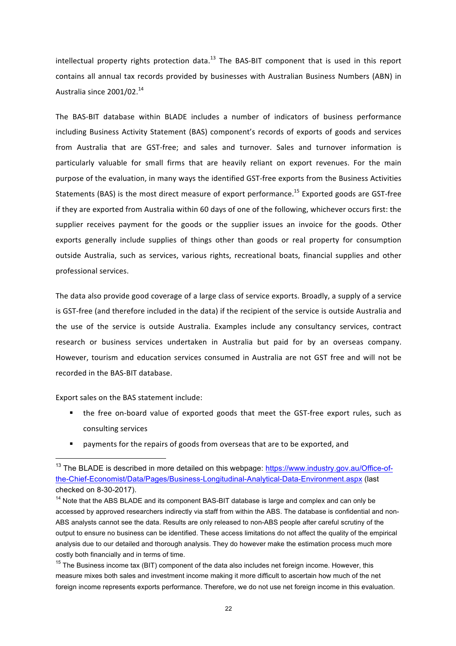intellectual property rights protection data.<sup>13</sup> The BAS-BIT component that is used in this report contains all annual tax records provided by businesses with Australian Business Numbers (ABN) in Australia since 2001/02.<sup>14</sup>

The BAS-BIT database within BLADE includes a number of indicators of business performance including Business Activity Statement (BAS) component's records of exports of goods and services from Australia that are GST-free; and sales and turnover. Sales and turnover information is particularly valuable for small firms that are heavily reliant on export revenues. For the main purpose of the evaluation, in many ways the identified GST-free exports from the Business Activities Statements (BAS) is the most direct measure of export performance.<sup>15</sup> Exported goods are GST-free if they are exported from Australia within 60 days of one of the following, whichever occurs first: the supplier receives payment for the goods or the supplier issues an invoice for the goods. Other exports generally include supplies of things other than goods or real property for consumption outside Australia, such as services, various rights, recreational boats, financial supplies and other professional services.

The data also provide good coverage of a large class of service exports. Broadly, a supply of a service is GST-free (and therefore included in the data) if the recipient of the service is outside Australia and the use of the service is outside Australia. Examples include any consultancy services, contract research or business services undertaken in Australia but paid for by an overseas company. However, tourism and education services consumed in Australia are not GST free and will not be recorded in the BAS-BIT database.

Export sales on the BAS statement include:

- the free on-board value of exported goods that meet the GST-free export rules, such as consulting services
- payments for the repairs of goods from overseas that are to be exported, and

<sup>&</sup>lt;sup>13</sup> The BLADE is described in more detailed on this webpage: https://www.industry.gov.au/Office-ofthe-Chief-Economist/Data/Pages/Business-Longitudinal-Analytical-Data-Environment.aspx (last checked on 8-30-2017).

<sup>&</sup>lt;sup>14</sup> Note that the ABS BLADE and its component BAS-BIT database is large and complex and can only be accessed by approved researchers indirectly via staff from within the ABS. The database is confidential and non-ABS analysts cannot see the data. Results are only released to non-ABS people after careful scrutiny of the output to ensure no business can be identified. These access limitations do not affect the quality of the empirical analysis due to our detailed and thorough analysis. They do however make the estimation process much more costly both financially and in terms of time.

<sup>&</sup>lt;sup>15</sup> The Business income tax (BIT) component of the data also includes net foreign income. However, this measure mixes both sales and investment income making it more difficult to ascertain how much of the net foreign income represents exports performance. Therefore, we do not use net foreign income in this evaluation.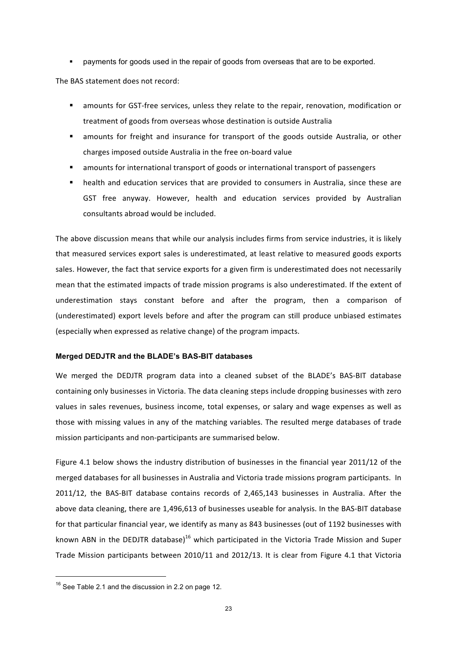§ payments for goods used in the repair of goods from overseas that are to be exported.

The BAS statement does not record:

- amounts for GST-free services, unless they relate to the repair, renovation, modification or treatment of goods from overseas whose destination is outside Australia
- amounts for freight and insurance for transport of the goods outside Australia, or other charges imposed outside Australia in the free on-board value
- amounts for international transport of goods or international transport of passengers
- health and education services that are provided to consumers in Australia, since these are GST free anyway. However, health and education services provided by Australian consultants abroad would be included.

The above discussion means that while our analysis includes firms from service industries, it is likely that measured services export sales is underestimated, at least relative to measured goods exports sales. However, the fact that service exports for a given firm is underestimated does not necessarily mean that the estimated impacts of trade mission programs is also underestimated. If the extent of underestimation stays constant before and after the program, then a comparison of (underestimated) export levels before and after the program can still produce unbiased estimates (especially when expressed as relative change) of the program impacts.

#### **Merged DEDJTR and the BLADE's BAS-BIT databases**

We merged the DEDJTR program data into a cleaned subset of the BLADE's BAS-BIT database containing only businesses in Victoria. The data cleaning steps include dropping businesses with zero values in sales revenues, business income, total expenses, or salary and wage expenses as well as those with missing values in any of the matching variables. The resulted merge databases of trade mission participants and non-participants are summarised below.

Figure 4.1 below shows the industry distribution of businesses in the financial year 2011/12 of the merged databases for all businesses in Australia and Victoria trade missions program participants. In 2011/12, the BAS-BIT database contains records of 2,465,143 businesses in Australia. After the above data cleaning, there are 1,496,613 of businesses useable for analysis. In the BAS-BIT database for that particular financial year, we identify as many as 843 businesses (out of 1192 businesses with known ABN in the DEDJTR database)<sup>16</sup> which participated in the Victoria Trade Mission and Super Trade Mission participants between 2010/11 and 2012/13. It is clear from Figure 4.1 that Victoria

 $16$  See Table 2.1 and the discussion in 2.2 on page 12.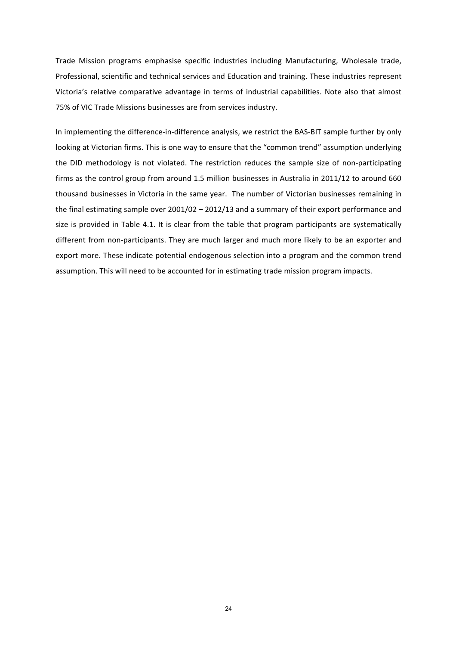Trade Mission programs emphasise specific industries including Manufacturing, Wholesale trade, Professional, scientific and technical services and Education and training. These industries represent Victoria's relative comparative advantage in terms of industrial capabilities. Note also that almost 75% of VIC Trade Missions businesses are from services industry.

In implementing the difference-in-difference analysis, we restrict the BAS-BIT sample further by only looking at Victorian firms. This is one way to ensure that the "common trend" assumption underlying the DID methodology is not violated. The restriction reduces the sample size of non-participating firms as the control group from around 1.5 million businesses in Australia in 2011/12 to around 660 thousand businesses in Victoria in the same year. The number of Victorian businesses remaining in the final estimating sample over  $2001/02 - 2012/13$  and a summary of their export performance and size is provided in Table 4.1. It is clear from the table that program participants are systematically different from non-participants. They are much larger and much more likely to be an exporter and export more. These indicate potential endogenous selection into a program and the common trend assumption. This will need to be accounted for in estimating trade mission program impacts.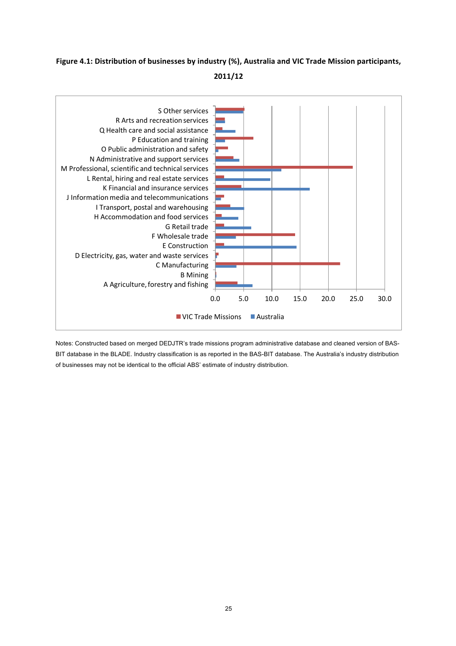## Figure 4.1: Distribution of businesses by industry (%), Australia and VIC Trade Mission participants, **2011/12**



Notes: Constructed based on merged DEDJTR's trade missions program administrative database and cleaned version of BAS-BIT database in the BLADE. Industry classification is as reported in the BAS-BIT database. The Australia's industry distribution of businesses may not be identical to the official ABS' estimate of industry distribution.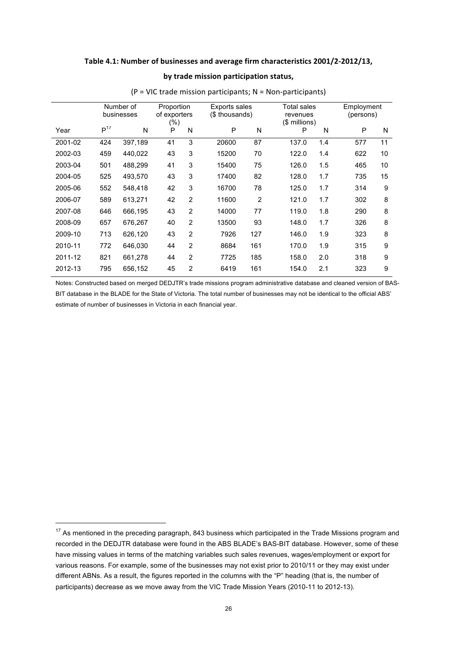#### Table 4.1: Number of businesses and average firm characteristics 2001/2-2012/13,

#### by trade mission participation status,

|         | Number of |            | Proportion   |                | <b>Exports sales</b> |                | Total sales   |     | Employment |           |  |
|---------|-----------|------------|--------------|----------------|----------------------|----------------|---------------|-----|------------|-----------|--|
|         |           | businesses | of exporters |                | (\$ thousands)       |                | revenues      |     |            | (persons) |  |
|         |           |            | $(\% )$      |                |                      |                | (\$ millions) |     |            |           |  |
| Year    | $P^{17}$  | N          | P            | N              | P                    | N              | P             | N   | P          | N         |  |
| 2001-02 | 424       | 397,189    | 41           | 3              | 20600                | 87             | 137.0         | 1.4 | 577        | 11        |  |
| 2002-03 | 459       | 440,022    | 43           | 3              | 15200                | 70             | 122.0         | 1.4 | 622        | 10        |  |
| 2003-04 | 501       | 488,299    | 41           | 3              | 15400                | 75             | 126.0         | 1.5 | 465        | 10        |  |
| 2004-05 | 525       | 493,570    | 43           | 3              | 17400                | 82             | 128.0         | 1.7 | 735        | 15        |  |
| 2005-06 | 552       | 548,418    | 42           | 3              | 16700                | 78             | 125.0         | 1.7 | 314        | 9         |  |
| 2006-07 | 589       | 613,271    | 42           | $\overline{2}$ | 11600                | $\overline{2}$ | 121.0         | 1.7 | 302        | 8         |  |
| 2007-08 | 646       | 666,195    | 43           | $\overline{2}$ | 14000                | 77             | 119.0         | 1.8 | 290        | 8         |  |
| 2008-09 | 657       | 676,267    | 40           | $\overline{2}$ | 13500                | 93             | 148.0         | 1.7 | 326        | 8         |  |
| 2009-10 | 713       | 626,120    | 43           | $\overline{2}$ | 7926                 | 127            | 146.0         | 1.9 | 323        | 8         |  |
| 2010-11 | 772       | 646,030    | 44           | $\overline{2}$ | 8684                 | 161            | 170.0         | 1.9 | 315        | 9         |  |
| 2011-12 | 821       | 661,278    | 44           | $\overline{2}$ | 7725                 | 185            | 158.0         | 2.0 | 318        | 9         |  |
| 2012-13 | 795       | 656,152    | 45           | $\overline{2}$ | 6419                 | 161            | 154.0         | 2.1 | 323        | 9         |  |

 $(P =$  VIC trade mission participants;  $N =$  Non-participants)

Notes: Constructed based on merged DEDJTR's trade missions program administrative database and cleaned version of BAS-BIT database in the BLADE for the State of Victoria. The total number of businesses may not be identical to the official ABS' estimate of number of businesses in Victoria in each financial year.

<sup>&</sup>lt;sup>17</sup> As mentioned in the preceding paragraph, 843 business which participated in the Trade Missions program and recorded in the DEDJTR database were found in the ABS BLADE's BAS-BIT database. However, some of these have missing values in terms of the matching variables such sales revenues, wages/employment or export for various reasons. For example, some of the businesses may not exist prior to 2010/11 or they may exist under different ABNs. As a result, the figures reported in the columns with the "P" heading (that is, the number of participants) decrease as we move away from the VIC Trade Mission Years (2010-11 to 2012-13).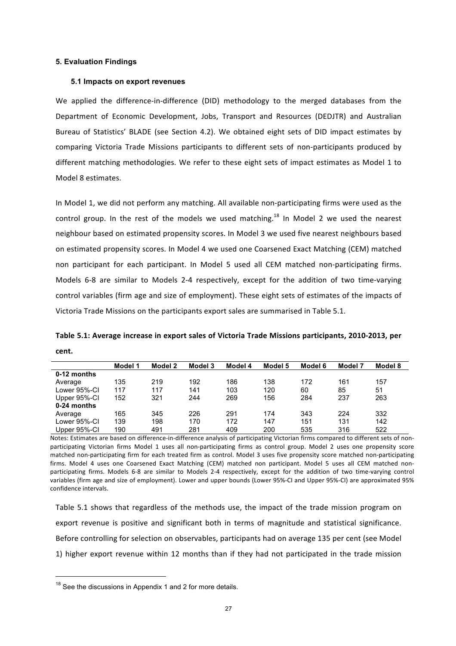#### **5. Evaluation Findings**

#### **5.1 Impacts on export revenues**

We applied the difference-in-difference (DID) methodology to the merged databases from the Department of Economic Development, Jobs, Transport and Resources (DEDJTR) and Australian Bureau of Statistics' BLADE (see Section 4.2). We obtained eight sets of DID impact estimates by comparing Victoria Trade Missions participants to different sets of non-participants produced by different matching methodologies. We refer to these eight sets of impact estimates as Model 1 to Model 8 estimates.

In Model 1, we did not perform any matching. All available non-participating firms were used as the control group. In the rest of the models we used matching.<sup>18</sup> In Model 2 we used the nearest neighbour based on estimated propensity scores. In Model 3 we used five nearest neighbours based on estimated propensity scores. In Model 4 we used one Coarsened Exact Matching (CEM) matched non participant for each participant. In Model 5 used all CEM matched non-participating firms. Models 6-8 are similar to Models 2-4 respectively, except for the addition of two time-varying control variables (firm age and size of employment). These eight sets of estimates of the impacts of Victoria Trade Missions on the participants export sales are summarised in Table 5.1.

**Table 5.1: Average increase in export sales of Victoria Trade Missions participants, 2010-2013, per cent.**

|              | Model 1 | Model 2 | Model 3 | Model 4 | Model 5 | Model 6 | Model 7 | Model 8 |
|--------------|---------|---------|---------|---------|---------|---------|---------|---------|
| 0-12 months  |         |         |         |         |         |         |         |         |
| Average      | 135     | 219     | 192     | 186     | 138     | 172     | 161     | 157     |
| Lower 95%-CI | 117     | 117     | 141     | 103     | 120     | 60      | 85      | 51      |
| Upper 95%-CI | 152     | 321     | 244     | 269     | 156     | 284     | 237     | 263     |
| 0-24 months  |         |         |         |         |         |         |         |         |
| Average      | 165     | 345     | 226     | 291     | 174     | 343     | 224     | 332     |
| Lower 95%-CI | 139     | 198     | 170     | 172     | 147     | 151     | 131     | 142     |
| Upper 95%-CI | 190     | 491     | 281     | 409     | 200     | 535     | 316     | 522     |

Notes: Estimates are based on difference-in-difference analysis of participating Victorian firms compared to different sets of nonparticipating Victorian firms Model 1 uses all non-participating firms as control group. Model 2 uses one propensity score matched non-participating firm for each treated firm as control. Model 3 uses five propensity score matched non-participating firms. Model 4 uses one Coarsened Exact Matching (CEM) matched non participant. Model 5 uses all CEM matched nonparticipating firms. Models 6-8 are similar to Models 2-4 respectively, except for the addition of two time-varying control variables (firm age and size of employment). Lower and upper bounds (Lower 95%-CI and Upper 95%-CI) are approximated 95% confidence intervals.

Table 5.1 shows that regardless of the methods use, the impact of the trade mission program on export revenue is positive and significant both in terms of magnitude and statistical significance. Before controlling for selection on observables, participants had on average 135 per cent (see Model 1) higher export revenue within 12 months than if they had not participated in the trade mission

 $18$  See the discussions in Appendix 1 and 2 for more details.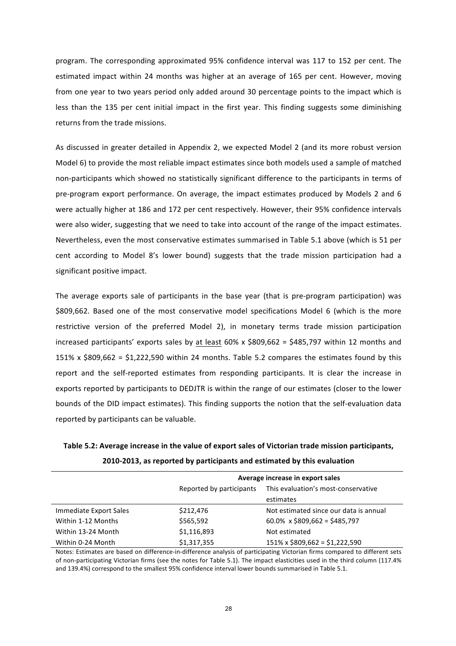program. The corresponding approximated 95% confidence interval was 117 to 152 per cent. The estimated impact within 24 months was higher at an average of 165 per cent. However, moving from one year to two years period only added around 30 percentage points to the impact which is less than the 135 per cent initial impact in the first year. This finding suggests some diminishing returns from the trade missions.

As discussed in greater detailed in Appendix 2, we expected Model 2 (and its more robust version Model 6) to provide the most reliable impact estimates since both models used a sample of matched non-participants which showed no statistically significant difference to the participants in terms of pre-program export performance. On average, the impact estimates produced by Models 2 and 6 were actually higher at 186 and 172 per cent respectively. However, their 95% confidence intervals were also wider, suggesting that we need to take into account of the range of the impact estimates. Nevertheless, even the most conservative estimates summarised in Table 5.1 above (which is 51 per cent according to Model 8's lower bound) suggests that the trade mission participation had a significant positive impact.

The average exports sale of participants in the base year (that is pre-program participation) was \$809,662. Based one of the most conservative model specifications Model 6 (which is the more restrictive version of the preferred Model 2), in monetary terms trade mission participation increased participants' exports sales by at least  $60\%$  x  $$809,662 = $485,797$  within 12 months and 151% x  $$809.662 = $1,222,590$  within 24 months. Table 5.2 compares the estimates found by this report and the self-reported estimates from responding participants. It is clear the increase in exports reported by participants to DEDJTR is within the range of our estimates (closer to the lower bounds of the DID impact estimates). This finding supports the notion that the self-evaluation data reported by participants can be valuable.

| Table 5.2: Average increase in the value of export sales of Victorian trade mission participants, |  |
|---------------------------------------------------------------------------------------------------|--|
| 2010-2013, as reported by participants and estimated by this evaluation                           |  |

|                        | Average increase in export sales |                                        |  |  |  |
|------------------------|----------------------------------|----------------------------------------|--|--|--|
|                        | Reported by participants         | This evaluation's most-conservative    |  |  |  |
|                        |                                  | estimates                              |  |  |  |
| Immediate Export Sales | \$212,476                        | Not estimated since our data is annual |  |  |  |
| Within 1-12 Months     | \$565,592                        | 60.0% $\times$ \$809,662 = \$485,797   |  |  |  |
| Within 13-24 Month     | \$1,116,893                      | Not estimated                          |  |  |  |
| Within 0-24 Month      | \$1,317,355                      | $151\% \times $809,662 = $1,222,590$   |  |  |  |

Notes: Estimates are based on difference-in-difference analysis of participating Victorian firms compared to different sets of non-participating Victorian firms (see the notes for Table 5.1). The impact elasticities used in the third column (117.4% and 139.4%) correspond to the smallest 95% confidence interval lower bounds summarised in Table 5.1.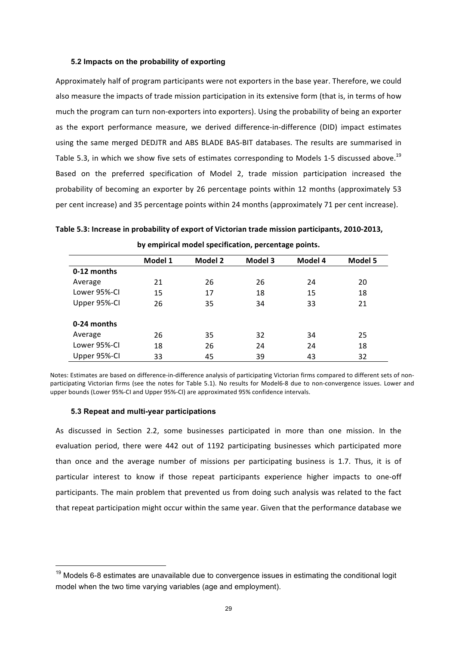#### **5.2 Impacts on the probability of exporting**

Approximately half of program participants were not exporters in the base year. Therefore, we could also measure the impacts of trade mission participation in its extensive form (that is, in terms of how much the program can turn non-exporters into exporters). Using the probability of being an exporter as the export performance measure, we derived difference-in-difference (DID) impact estimates using the same merged DEDJTR and ABS BLADE BAS-BIT databases. The results are summarised in Table 5.3, in which we show five sets of estimates corresponding to Models 1-5 discussed above.<sup>19</sup> Based on the preferred specification of Model 2, trade mission participation increased the probability of becoming an exporter by 26 percentage points within 12 months (approximately 53 per cent increase) and 35 percentage points within 24 months (approximately 71 per cent increase).

| Table 5.3: Increase in probability of export of Victorian trade mission participants, 2010-2013, |
|--------------------------------------------------------------------------------------------------|
| by empirical model specification, percentage points.                                             |

|              | Model 1 | Model 2 | Model 3 | Model 4 | Model 5 |
|--------------|---------|---------|---------|---------|---------|
| 0-12 months  |         |         |         |         |         |
| Average      | 21      | 26      | 26      | 24      | 20      |
| Lower 95%-CI | 15      | 17      | 18      | 15      | 18      |
| Upper 95%-CI | 26      | 35      | 34      | 33      | 21      |
| 0-24 months  |         |         |         |         |         |
| Average      | 26      | 35      | 32      | 34      | 25      |
| Lower 95%-CI | 18      | 26      | 24      | 24      | 18      |
| Upper 95%-CI | 33      | 45      | 39      | 43      | 32      |

Notes: Estimates are based on difference-in-difference analysis of participating Victorian firms compared to different sets of nonparticipating Victorian firms (see the notes for Table 5.1). No results for Model6-8 due to non-convergence issues. Lower and upper bounds (Lower 95%-CI and Upper 95%-CI) are approximated 95% confidence intervals.

#### **5.3 Repeat and multi-year participations**

As discussed in Section 2.2, some businesses participated in more than one mission. In the evaluation period, there were 442 out of 1192 participating businesses which participated more than once and the average number of missions per participating business is 1.7. Thus, it is of particular interest to know if those repeat participants experience higher impacts to one-off participants. The main problem that prevented us from doing such analysis was related to the fact that repeat participation might occur within the same year. Given that the performance database we

 $19$  Models 6-8 estimates are unavailable due to convergence issues in estimating the conditional logit model when the two time varying variables (age and employment).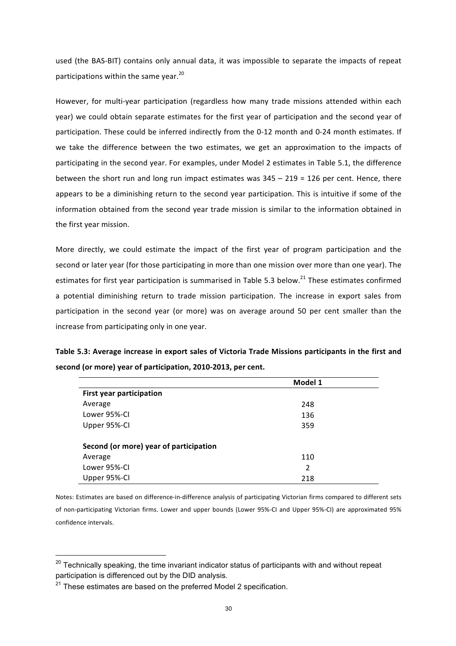used (the BAS-BIT) contains only annual data, it was impossible to separate the impacts of repeat participations within the same year. $^{20}$ 

However, for multi-year participation (regardless how many trade missions attended within each vear) we could obtain separate estimates for the first vear of participation and the second vear of participation. These could be inferred indirectly from the 0-12 month and 0-24 month estimates. If we take the difference between the two estimates, we get an approximation to the impacts of participating in the second year. For examples, under Model 2 estimates in Table 5.1, the difference between the short run and long run impact estimates was  $345 - 219 = 126$  per cent. Hence, there appears to be a diminishing return to the second year participation. This is intuitive if some of the information obtained from the second year trade mission is similar to the information obtained in the first vear mission.

More directly, we could estimate the impact of the first year of program participation and the second or later year (for those participating in more than one mission over more than one year). The estimates for first year participation is summarised in Table 5.3 below.<sup>21</sup> These estimates confirmed a potential diminishing return to trade mission participation. The increase in export sales from participation in the second year (or more) was on average around 50 per cent smaller than the increase from participating only in one year.

| Table 5.3: Average increase in export sales of Victoria Trade Missions participants in the first and |  |
|------------------------------------------------------------------------------------------------------|--|
| second (or more) year of participation, 2010-2013, per cent.                                         |  |

|                                        | Model 1        |  |
|----------------------------------------|----------------|--|
| <b>First year participation</b>        |                |  |
| Average                                | 248            |  |
| Lower 95%-CI                           | 136            |  |
| Upper 95%-CI                           | 359            |  |
|                                        |                |  |
| Second (or more) year of participation |                |  |
| Average                                | 110            |  |
| Lower 95%-CI                           | $\mathfrak{p}$ |  |
| Upper 95%-CI                           | 218            |  |

Notes: Estimates are based on difference-in-difference analysis of participating Victorian firms compared to different sets of non-participating Victorian firms. Lower and upper bounds (Lower 95%-CI and Upper 95%-CI) are approximated 95% confidence intervals.

 $20$  Technically speaking, the time invariant indicator status of participants with and without repeat participation is differenced out by the DID analysis.

 $21$ <sup>21</sup> These estimates are based on the preferred Model 2 specification.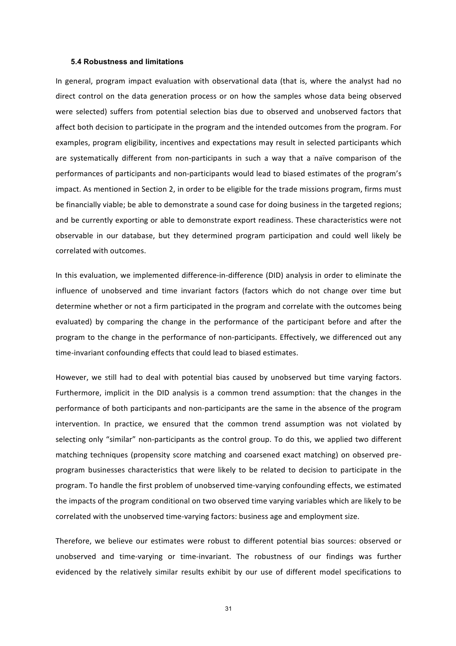#### **5.4 Robustness and limitations**

In general, program impact evaluation with observational data (that is, where the analyst had no direct control on the data generation process or on how the samples whose data being observed were selected) suffers from potential selection bias due to observed and unobserved factors that affect both decision to participate in the program and the intended outcomes from the program. For examples, program eligibility, incentives and expectations may result in selected participants which are systematically different from non-participants in such a way that a naïve comparison of the performances of participants and non-participants would lead to biased estimates of the program's impact. As mentioned in Section 2, in order to be eligible for the trade missions program, firms must be financially viable; be able to demonstrate a sound case for doing business in the targeted regions; and be currently exporting or able to demonstrate export readiness. These characteristics were not observable in our database, but they determined program participation and could well likely be correlated with outcomes.

In this evaluation, we implemented difference-in-difference (DID) analysis in order to eliminate the influence of unobserved and time invariant factors (factors which do not change over time but determine whether or not a firm participated in the program and correlate with the outcomes being evaluated) by comparing the change in the performance of the participant before and after the program to the change in the performance of non-participants. Effectively, we differenced out any time-invariant confounding effects that could lead to biased estimates.

However, we still had to deal with potential bias caused by unobserved but time varying factors. Furthermore, implicit in the DID analysis is a common trend assumption: that the changes in the performance of both participants and non-participants are the same in the absence of the program intervention. In practice, we ensured that the common trend assumption was not violated by selecting only "similar" non-participants as the control group. To do this, we applied two different matching techniques (propensity score matching and coarsened exact matching) on observed preprogram businesses characteristics that were likely to be related to decision to participate in the program. To handle the first problem of unobserved time-varying confounding effects, we estimated the impacts of the program conditional on two observed time varying variables which are likely to be correlated with the unobserved time-varying factors: business age and employment size.

Therefore, we believe our estimates were robust to different potential bias sources: observed or unobserved and time-varying or time-invariant. The robustness of our findings was further evidenced by the relatively similar results exhibit by our use of different model specifications to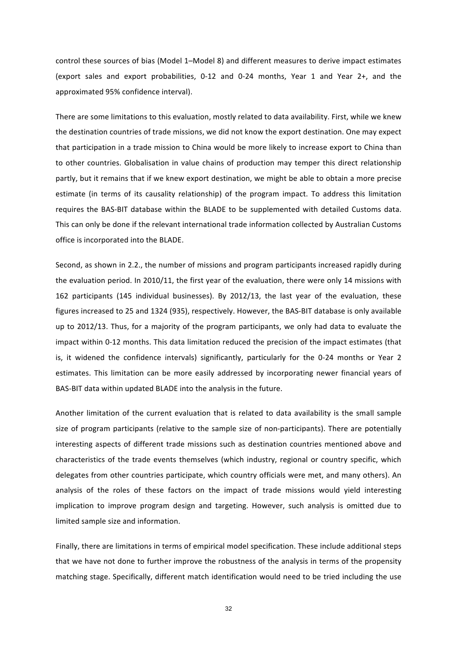control these sources of bias (Model 1–Model 8) and different measures to derive impact estimates (export sales and export probabilities, 0-12 and 0-24 months, Year 1 and Year 2+, and the approximated 95% confidence interval).

There are some limitations to this evaluation, mostly related to data availability. First, while we knew the destination countries of trade missions, we did not know the export destination. One may expect that participation in a trade mission to China would be more likely to increase export to China than to other countries. Globalisation in value chains of production may temper this direct relationship partly, but it remains that if we knew export destination, we might be able to obtain a more precise estimate (in terms of its causality relationship) of the program impact. To address this limitation requires the BAS-BIT database within the BLADE to be supplemented with detailed Customs data. This can only be done if the relevant international trade information collected by Australian Customs office is incorporated into the BLADE.

Second, as shown in 2.2., the number of missions and program participants increased rapidly during the evaluation period. In 2010/11, the first year of the evaluation, there were only 14 missions with 162 participants (145 individual businesses). By 2012/13, the last year of the evaluation, these figures increased to 25 and 1324 (935), respectively. However, the BAS-BIT database is only available up to 2012/13. Thus, for a majority of the program participants, we only had data to evaluate the impact within 0-12 months. This data limitation reduced the precision of the impact estimates (that is, it widened the confidence intervals) significantly, particularly for the 0-24 months or Year 2 estimates. This limitation can be more easily addressed by incorporating newer financial years of BAS-BIT data within updated BLADE into the analysis in the future.

Another limitation of the current evaluation that is related to data availability is the small sample size of program participants (relative to the sample size of non-participants). There are potentially interesting aspects of different trade missions such as destination countries mentioned above and characteristics of the trade events themselves (which industry, regional or country specific, which delegates from other countries participate, which country officials were met, and many others). An analysis of the roles of these factors on the impact of trade missions would yield interesting implication to improve program design and targeting. However, such analysis is omitted due to limited sample size and information.

Finally, there are limitations in terms of empirical model specification. These include additional steps that we have not done to further improve the robustness of the analysis in terms of the propensity matching stage. Specifically, different match identification would need to be tried including the use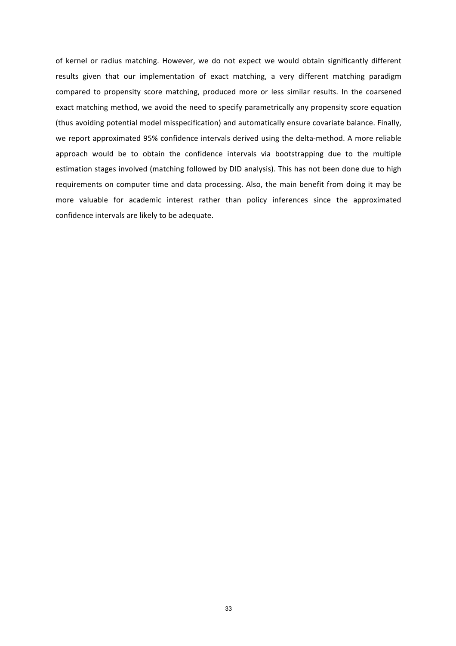of kernel or radius matching. However, we do not expect we would obtain significantly different results given that our implementation of exact matching, a very different matching paradigm compared to propensity score matching, produced more or less similar results. In the coarsened exact matching method, we avoid the need to specify parametrically any propensity score equation (thus avoiding potential model misspecification) and automatically ensure covariate balance. Finally, we report approximated 95% confidence intervals derived using the delta-method. A more reliable approach would be to obtain the confidence intervals via bootstrapping due to the multiple estimation stages involved (matching followed by DID analysis). This has not been done due to high requirements on computer time and data processing. Also, the main benefit from doing it may be more valuable for academic interest rather than policy inferences since the approximated confidence intervals are likely to be adequate.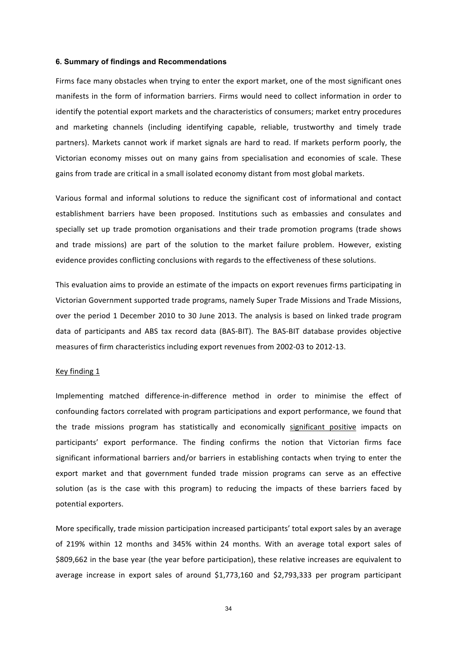#### **6. Summary of findings and Recommendations**

Firms face many obstacles when trying to enter the export market, one of the most significant ones manifests in the form of information barriers. Firms would need to collect information in order to identify the potential export markets and the characteristics of consumers; market entry procedures and marketing channels (including identifying capable, reliable, trustworthy and timely trade partners). Markets cannot work if market signals are hard to read. If markets perform poorly, the Victorian economy misses out on many gains from specialisation and economies of scale. These gains from trade are critical in a small isolated economy distant from most global markets.

Various formal and informal solutions to reduce the significant cost of informational and contact establishment barriers have been proposed. Institutions such as embassies and consulates and specially set up trade promotion organisations and their trade promotion programs (trade shows and trade missions) are part of the solution to the market failure problem. However, existing evidence provides conflicting conclusions with regards to the effectiveness of these solutions.

This evaluation aims to provide an estimate of the impacts on export revenues firms participating in Victorian Government supported trade programs, namely Super Trade Missions and Trade Missions, over the period 1 December 2010 to 30 June 2013. The analysis is based on linked trade program data of participants and ABS tax record data (BAS-BIT). The BAS-BIT database provides objective measures of firm characteristics including export revenues from 2002-03 to 2012-13.

#### Key finding 1

Implementing matched difference-in-difference method in order to minimise the effect of confounding factors correlated with program participations and export performance, we found that the trade missions program has statistically and economically significant positive impacts on participants' export performance. The finding confirms the notion that Victorian firms face significant informational barriers and/or barriers in establishing contacts when trying to enter the export market and that government funded trade mission programs can serve as an effective solution (as is the case with this program) to reducing the impacts of these barriers faced by potential exporters.

More specifically, trade mission participation increased participants' total export sales by an average of 219% within 12 months and 345% within 24 months. With an average total export sales of \$809,662 in the base year (the year before participation), these relative increases are equivalent to average increase in export sales of around  $$1,773,160$  and  $$2,793,333$  per program participant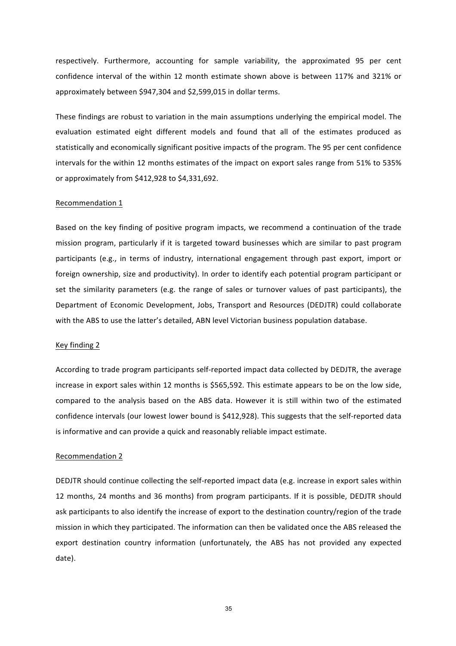respectively. Furthermore, accounting for sample variability, the approximated 95 per cent confidence interval of the within 12 month estimate shown above is between 117% and 321% or approximately between \$947,304 and \$2,599,015 in dollar terms.

These findings are robust to variation in the main assumptions underlying the empirical model. The evaluation estimated eight different models and found that all of the estimates produced as statistically and economically significant positive impacts of the program. The 95 per cent confidence intervals for the within 12 months estimates of the impact on export sales range from 51% to 535% or approximately from  $$412,928$  to  $$4,331,692$ .

#### Recommendation 1

Based on the key finding of positive program impacts, we recommend a continuation of the trade mission program, particularly if it is targeted toward businesses which are similar to past program participants (e.g., in terms of industry, international engagement through past export, import or foreign ownership, size and productivity). In order to identify each potential program participant or set the similarity parameters (e.g. the range of sales or turnover values of past participants), the Department of Economic Development, Jobs, Transport and Resources (DEDJTR) could collaborate with the ABS to use the latter's detailed, ABN level Victorian business population database.

#### Key finding 2

According to trade program participants self-reported impact data collected by DEDJTR, the average increase in export sales within 12 months is \$565,592. This estimate appears to be on the low side, compared to the analysis based on the ABS data. However it is still within two of the estimated confidence intervals (our lowest lower bound is \$412,928). This suggests that the self-reported data is informative and can provide a quick and reasonably reliable impact estimate.

#### Recommendation 2

DEDJTR should continue collecting the self-reported impact data (e.g. increase in export sales within 12 months, 24 months and 36 months) from program participants. If it is possible, DEDJTR should ask participants to also identify the increase of export to the destination country/region of the trade mission in which they participated. The information can then be validated once the ABS released the export destination country information (unfortunately, the ABS has not provided any expected date).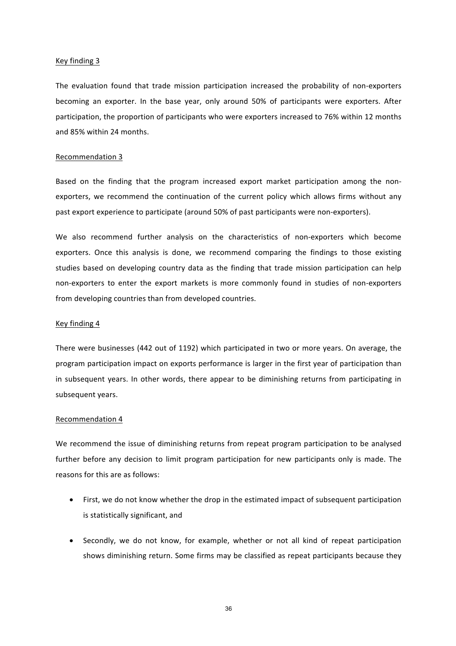#### Key finding 3

The evaluation found that trade mission participation increased the probability of non-exporters becoming an exporter. In the base year, only around 50% of participants were exporters. After participation, the proportion of participants who were exporters increased to 76% within 12 months and 85% within 24 months.

#### Recommendation 3

Based on the finding that the program increased export market participation among the nonexporters, we recommend the continuation of the current policy which allows firms without any past export experience to participate (around 50% of past participants were non-exporters).

We also recommend further analysis on the characteristics of non-exporters which become exporters. Once this analysis is done, we recommend comparing the findings to those existing studies based on developing country data as the finding that trade mission participation can help non-exporters to enter the export markets is more commonly found in studies of non-exporters from developing countries than from developed countries.

#### Key finding 4

There were businesses (442 out of 1192) which participated in two or more years. On average, the program participation impact on exports performance is larger in the first year of participation than in subsequent years. In other words, there appear to be diminishing returns from participating in subsequent years.

#### Recommendation 4

We recommend the issue of diminishing returns from repeat program participation to be analysed further before any decision to limit program participation for new participants only is made. The reasons for this are as follows:

- First, we do not know whether the drop in the estimated impact of subsequent participation is statistically significant, and
- Secondly, we do not know, for example, whether or not all kind of repeat participation shows diminishing return. Some firms may be classified as repeat participants because they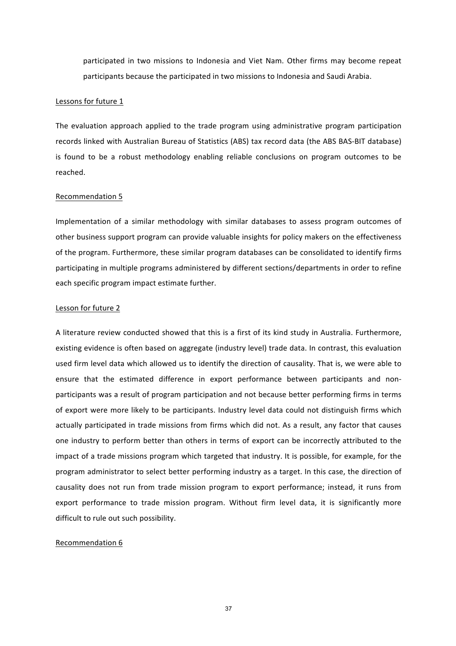participated in two missions to Indonesia and Viet Nam. Other firms may become repeat participants because the participated in two missions to Indonesia and Saudi Arabia.

#### Lessons for future 1

The evaluation approach applied to the trade program using administrative program participation records linked with Australian Bureau of Statistics (ABS) tax record data (the ABS BAS-BIT database) is found to be a robust methodology enabling reliable conclusions on program outcomes to be reached. 

#### Recommendation 5

Implementation of a similar methodology with similar databases to assess program outcomes of other business support program can provide valuable insights for policy makers on the effectiveness of the program. Furthermore, these similar program databases can be consolidated to identify firms participating in multiple programs administered by different sections/departments in order to refine each specific program impact estimate further.

#### Lesson for future 2

A literature review conducted showed that this is a first of its kind study in Australia. Furthermore, existing evidence is often based on aggregate (industry level) trade data. In contrast, this evaluation used firm level data which allowed us to identify the direction of causality. That is, we were able to ensure that the estimated difference in export performance between participants and nonparticipants was a result of program participation and not because better performing firms in terms of export were more likely to be participants. Industry level data could not distinguish firms which actually participated in trade missions from firms which did not. As a result, any factor that causes one industry to perform better than others in terms of export can be incorrectly attributed to the impact of a trade missions program which targeted that industry. It is possible, for example, for the program administrator to select better performing industry as a target. In this case, the direction of causality does not run from trade mission program to export performance; instead, it runs from export performance to trade mission program. Without firm level data, it is significantly more difficult to rule out such possibility.

#### Recommendation 6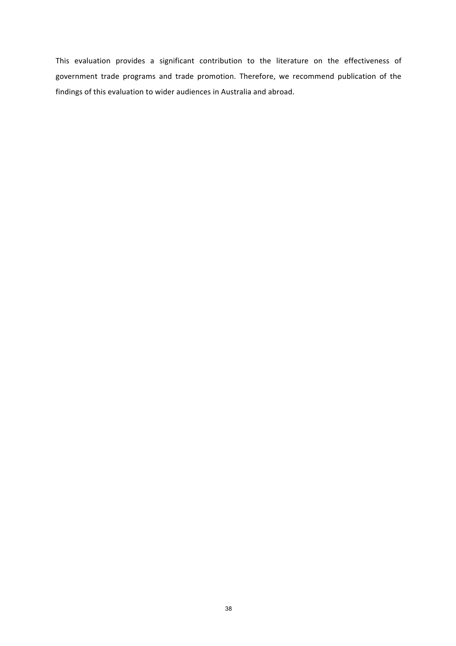This evaluation provides a significant contribution to the literature on the effectiveness of government trade programs and trade promotion. Therefore, we recommend publication of the findings of this evaluation to wider audiences in Australia and abroad.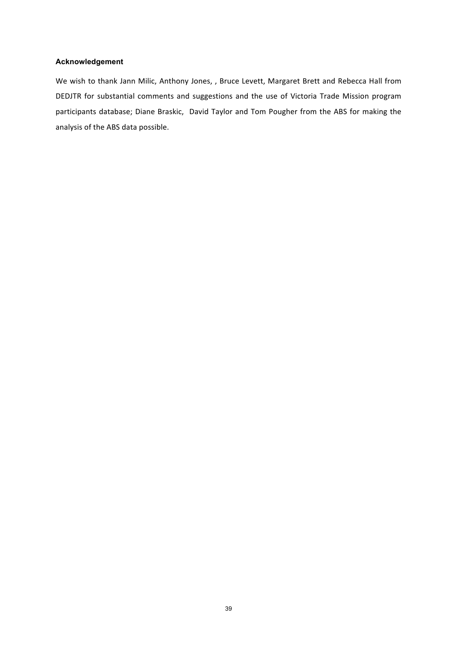#### **Acknowledgement**

We wish to thank Jann Milic, Anthony Jones, , Bruce Levett, Margaret Brett and Rebecca Hall from DEDJTR for substantial comments and suggestions and the use of Victoria Trade Mission program participants database; Diane Braskic, David Taylor and Tom Pougher from the ABS for making the analysis of the ABS data possible.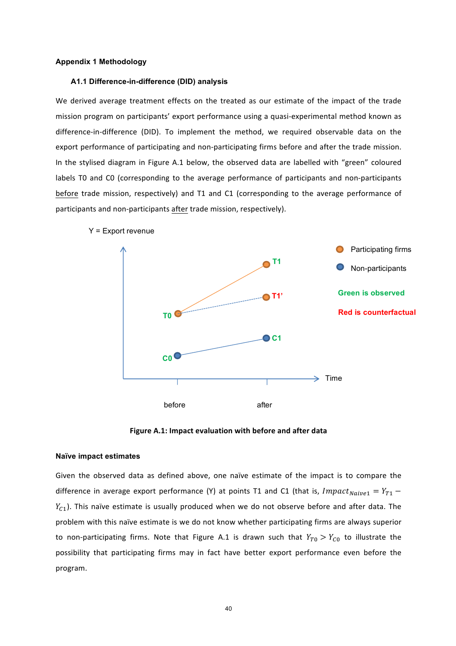#### **Appendix 1 Methodology**

#### **A1.1 Difference-in-difference (DID) analysis**

We derived average treatment effects on the treated as our estimate of the impact of the trade mission program on participants' export performance using a quasi-experimental method known as difference-in-difference (DID). To implement the method, we required observable data on the export performance of participating and non-participating firms before and after the trade mission. In the stylised diagram in Figure A.1 below, the observed data are labelled with "green" coloured labels T0 and C0 (corresponding to the average performance of participants and non-participants before trade mission, respectively) and T1 and C1 (corresponding to the average performance of participants and non-participants after trade mission, respectively).







#### **Naïve impact estimates**

Given the observed data as defined above, one naïve estimate of the impact is to compare the difference in average export performance (Y) at points T1 and C1 (that is,  $Impatch<sub>naive1</sub> = Y<sub>T1</sub>$  –  $Y_{c1}$ ). This naïve estimate is usually produced when we do not observe before and after data. The problem with this naïve estimate is we do not know whether participating firms are always superior to non-participating firms. Note that Figure A.1 is drawn such that  $Y_{T0} > Y_{C0}$  to illustrate the possibility that participating firms may in fact have better export performance even before the program.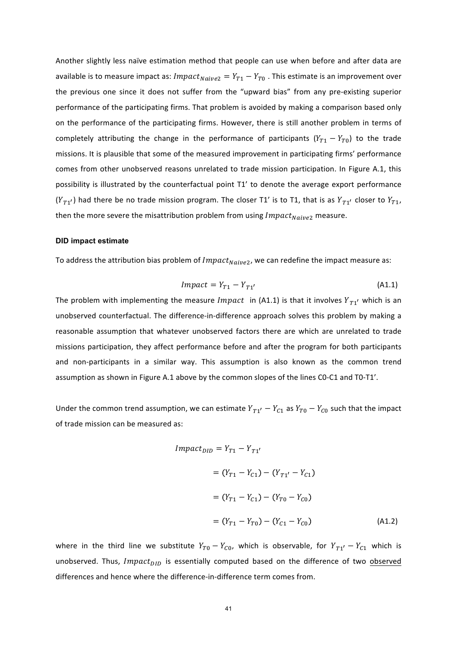Another slightly less naïve estimation method that people can use when before and after data are available is to measure impact as:  $Impatch_{naive2} = Y_{T1} - Y_{T0}$ . This estimate is an improvement over the previous one since it does not suffer from the "upward bias" from any pre-existing superior performance of the participating firms. That problem is avoided by making a comparison based only on the performance of the participating firms. However, there is still another problem in terms of completely attributing the change in the performance of participants  $(Y_{T1} - Y_{T0})$  to the trade missions. It is plausible that some of the measured improvement in participating firms' performance comes from other unobserved reasons unrelated to trade mission participation. In Figure A.1, this possibility is illustrated by the counterfactual point T1' to denote the average export performance  $(Y_{T1'})$  had there be no trade mission program. The closer T1' is to T1, that is as  $Y_{T1'}$  closer to  $Y_{T1}$ , then the more severe the misattribution problem from using  $Impatch_{Naive2}$  measure.

#### **DID impact estimate**

To address the attribution bias problem of  $Impact_{Naive2}$ , we can redefine the impact measure as:

$$
Impact = Y_{T1} - Y_{T1'} \tag{A1.1}
$$

The problem with implementing the measure *Impact* in (A1.1) is that it involves  $Y_{T1}$  which is an unobserved counterfactual. The difference-in-difference approach solves this problem by making a reasonable assumption that whatever unobserved factors there are which are unrelated to trade missions participation, they affect performance before and after the program for both participants and non-participants in a similar way. This assumption is also known as the common trend assumption as shown in Figure A.1 above by the common slopes of the lines C0-C1 and T0-T1'.

Under the common trend assumption, we can estimate  $Y_{T1'} - Y_{C1}$  as  $Y_{T0} - Y_{C0}$  such that the impact of trade mission can be measured as:

$$
Impact_{DID} = Y_{T1} - Y_{T1'}
$$
  
=  $(Y_{T1} - Y_{C1}) - (Y_{T1'} - Y_{C1})$   
=  $(Y_{T1} - Y_{C1}) - (Y_{T0} - Y_{C0})$   
=  $(Y_{T1} - Y_{T0}) - (Y_{C1} - Y_{C0})$  (A1.2)

where in the third line we substitute  $Y_{T0} - Y_{C0}$ , which is observable, for  $Y_{T1'} - Y_{C1}$  which is unobserved. Thus, Impact<sub>DID</sub> is essentially computed based on the difference of two observed differences and hence where the difference-in-difference term comes from.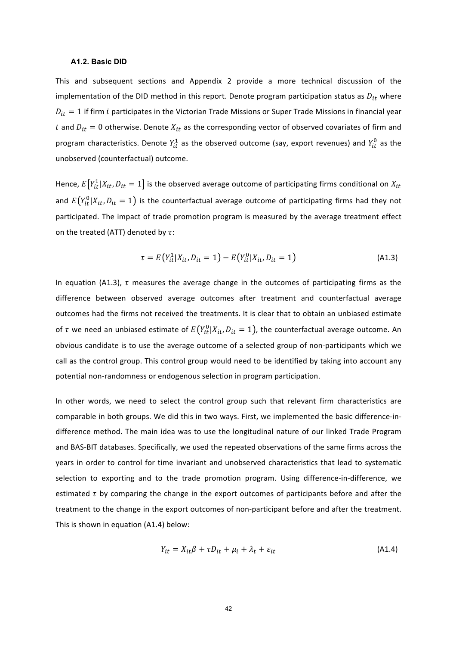#### **A1.2. Basic DID**

This and subsequent sections and Appendix 2 provide a more technical discussion of the implementation of the DID method in this report. Denote program participation status as  $D_{it}$  where  $D_{it} = 1$  if firm *i* participates in the Victorian Trade Missions or Super Trade Missions in financial year t and  $D_{it} = 0$  otherwise. Denote  $X_{it}$  as the corresponding vector of observed covariates of firm and program characteristics. Denote  $Y_{it}^1$  as the observed outcome (say, export revenues) and  $Y_{it}^0$  as the unobserved (counterfactual) outcome.

Hence,  $E\big[Y^1_{it}|X_{it},D_{it}=1\big]$  is the observed average outcome of participating firms conditional on  $X_{it}$ and  $E\big(Y^0_{it}|X_{it},D_{it}=1\big)$  is the counterfactual average outcome of participating firms had they not participated. The impact of trade promotion program is measured by the average treatment effect on the treated (ATT) denoted by  $\tau$ :

$$
\tau = E(Y_{it}^1 | X_{it}, D_{it} = 1) - E(Y_{it}^0 | X_{it}, D_{it} = 1)
$$
\n(A1.3)

In equation (A1.3),  $\tau$  measures the average change in the outcomes of participating firms as the difference between observed average outcomes after treatment and counterfactual average outcomes had the firms not received the treatments. It is clear that to obtain an unbiased estimate of  $\tau$  we need an unbiased estimate of  $E\big(Y^0_{it}|X_{it},D_{it}=1\big)$ , the counterfactual average outcome. An obvious candidate is to use the average outcome of a selected group of non-participants which we call as the control group. This control group would need to be identified by taking into account any potential non-randomness or endogenous selection in program participation.

In other words, we need to select the control group such that relevant firm characteristics are comparable in both groups. We did this in two ways. First, we implemented the basic difference-indifference method. The main idea was to use the longitudinal nature of our linked Trade Program and BAS-BIT databases. Specifically, we used the repeated observations of the same firms across the years in order to control for time invariant and unobserved characteristics that lead to systematic selection to exporting and to the trade promotion program. Using difference-in-difference, we estimated  $\tau$  by comparing the change in the export outcomes of participants before and after the treatment to the change in the export outcomes of non-participant before and after the treatment. This is shown in equation  $(A1.4)$  below:

$$
Y_{it} = X_{it}\beta + \tau D_{it} + \mu_i + \lambda_t + \varepsilon_{it}
$$
\n(A1.4)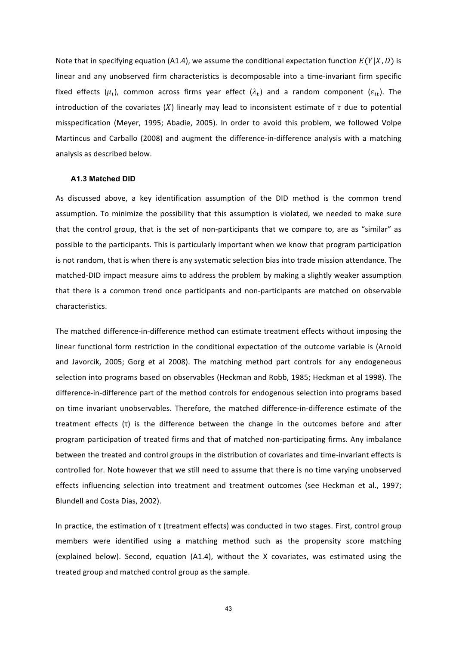Note that in specifying equation (A1.4), we assume the conditional expectation function  $E(Y|X,D)$  is linear and any unobserved firm characteristics is decomposable into a time-invariant firm specific fixed effects  $(\mu_i)$ , common across firms year effect  $(\lambda_t)$  and a random component  $(\varepsilon_{it})$ . The introduction of the covariates  $(X)$  linearly may lead to inconsistent estimate of  $\tau$  due to potential misspecification (Meyer, 1995; Abadie, 2005). In order to avoid this problem, we followed Volpe Martincus and Carballo (2008) and augment the difference-in-difference analysis with a matching analysis as described below.

#### **A1.3 Matched DID**

As discussed above, a key identification assumption of the DID method is the common trend assumption. To minimize the possibility that this assumption is violated, we needed to make sure that the control group, that is the set of non-participants that we compare to, are as "similar" as possible to the participants. This is particularly important when we know that program participation is not random, that is when there is any systematic selection bias into trade mission attendance. The matched-DID impact measure aims to address the problem by making a slightly weaker assumption that there is a common trend once participants and non-participants are matched on observable characteristics. 

The matched difference-in-difference method can estimate treatment effects without imposing the linear functional form restriction in the conditional expectation of the outcome variable is (Arnold and Javorcik, 2005; Gorg et al 2008). The matching method part controls for any endogeneous selection into programs based on observables (Heckman and Robb, 1985; Heckman et al 1998). The difference-in-difference part of the method controls for endogenous selection into programs based on time invariant unobservables. Therefore, the matched difference-in-difference estimate of the treatment effects  $(\tau)$  is the difference between the change in the outcomes before and after program participation of treated firms and that of matched non-participating firms. Any imbalance between the treated and control groups in the distribution of covariates and time-invariant effects is controlled for. Note however that we still need to assume that there is no time varying unobserved effects influencing selection into treatment and treatment outcomes (see Heckman et al., 1997; Blundell and Costa Dias, 2002).

In practice, the estimation of τ (treatment effects) was conducted in two stages. First, control group members were identified using a matching method such as the propensity score matching (explained below). Second, equation (A1.4), without the X covariates, was estimated using the treated group and matched control group as the sample.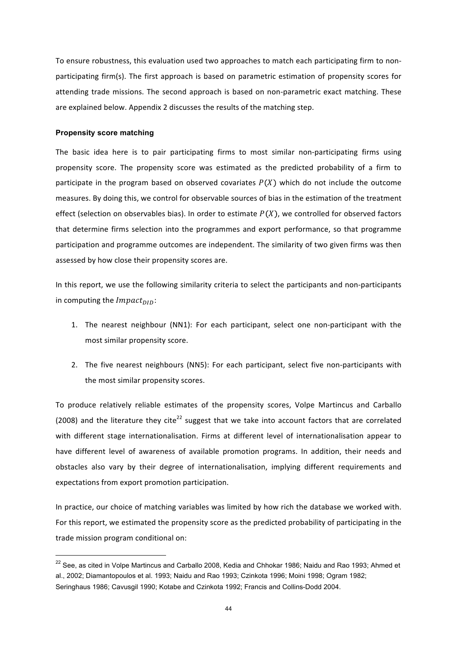To ensure robustness, this evaluation used two approaches to match each participating firm to nonparticipating firm(s). The first approach is based on parametric estimation of propensity scores for attending trade missions. The second approach is based on non-parametric exact matching. These are explained below. Appendix 2 discusses the results of the matching step.

#### **Propensity score matching**

The basic idea here is to pair participating firms to most similar non-participating firms using propensity score. The propensity score was estimated as the predicted probability of a firm to participate in the program based on observed covariates  $P(X)$  which do not include the outcome measures. By doing this, we control for observable sources of bias in the estimation of the treatment effect (selection on observables bias). In order to estimate  $P(X)$ , we controlled for observed factors that determine firms selection into the programmes and export performance, so that programme participation and programme outcomes are independent. The similarity of two given firms was then assessed by how close their propensity scores are.

In this report, we use the following similarity criteria to select the participants and non-participants in computing the  $Impatch_{ID}$ :

- 1. The nearest neighbour (NN1): For each participant, select one non-participant with the most similar propensity score.
- 2. The five nearest neighbours (NN5): For each participant, select five non-participants with the most similar propensity scores.

To produce relatively reliable estimates of the propensity scores, Volpe Martincus and Carballo (2008) and the literature they cite<sup>22</sup> suggest that we take into account factors that are correlated with different stage internationalisation. Firms at different level of internationalisation appear to have different level of awareness of available promotion programs. In addition, their needs and obstacles also vary by their degree of internationalisation, implying different requirements and expectations from export promotion participation.

In practice, our choice of matching variables was limited by how rich the database we worked with. For this report, we estimated the propensity score as the predicted probability of participating in the trade mission program conditional on:

<sup>&</sup>lt;sup>22</sup> See, as cited in Volpe Martincus and Carballo 2008, Kedia and Chhokar 1986; Naidu and Rao 1993; Ahmed et al., 2002; Diamantopoulos et al. 1993; Naidu and Rao 1993; Czinkota 1996; Moini 1998; Ogram 1982; Seringhaus 1986; Cavusgil 1990; Kotabe and Czinkota 1992; Francis and Collins-Dodd 2004.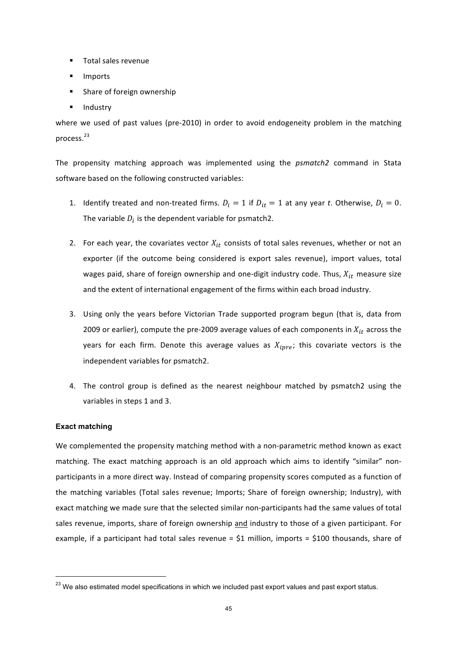- Total sales revenue
- **Imports**
- Share of foreign ownership
- Industry

where we used of past values (pre-2010) in order to avoid endogeneity problem in the matching process.<sup>23</sup>

The propensity matching approach was implemented using the *psmatch2* command in Stata software based on the following constructed variables:

- 1. Identify treated and non-treated firms.  $D_i = 1$  if  $D_{it} = 1$  at any year *t*. Otherwise,  $D_i = 0$ . The variable  $D_i$  is the dependent variable for psmatch2.
- 2. For each year, the covariates vector  $X_{it}$  consists of total sales revenues, whether or not an exporter (if the outcome being considered is export sales revenue), import values, total wages paid, share of foreign ownership and one-digit industry code. Thus,  $X_{it}$  measure size and the extent of international engagement of the firms within each broad industry.
- 3. Using only the years before Victorian Trade supported program begun (that is, data from 2009 or earlier), compute the pre-2009 average values of each components in  $X_{it}$  across the years for each firm. Denote this average values as  $X_{ipre}$ ; this covariate vectors is the independent variables for psmatch2.
- 4. The control group is defined as the nearest neighbour matched by psmatch2 using the variables in steps 1 and 3.

#### **Exact matching**

We complemented the propensity matching method with a non-parametric method known as exact matching. The exact matching approach is an old approach which aims to identify "similar" nonparticipants in a more direct way. Instead of comparing propensity scores computed as a function of the matching variables (Total sales revenue; Imports; Share of foreign ownership; Industry), with exact matching we made sure that the selected similar non-participants had the same values of total sales revenue, imports, share of foreign ownership and industry to those of a given participant. For example, if a participant had total sales revenue =  $$1$  million, imports =  $$100$  thousands, share of

<sup>&</sup>lt;sup>23</sup> We also estimated model specifications in which we included past export values and past export status.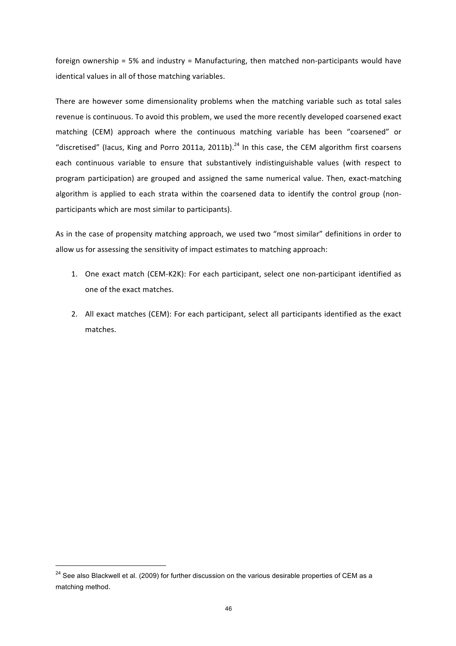foreign ownership =  $5%$  and industry = Manufacturing, then matched non-participants would have identical values in all of those matching variables.

There are however some dimensionality problems when the matching variable such as total sales revenue is continuous. To avoid this problem, we used the more recently developed coarsened exact matching (CEM) approach where the continuous matching variable has been "coarsened" or "discretised" (lacus, King and Porro 2011a, 2011b).<sup>24</sup> In this case, the CEM algorithm first coarsens each continuous variable to ensure that substantively indistinguishable values (with respect to program participation) are grouped and assigned the same numerical value. Then, exact-matching algorithm is applied to each strata within the coarsened data to identify the control group (nonparticipants which are most similar to participants).

As in the case of propensity matching approach, we used two "most similar" definitions in order to allow us for assessing the sensitivity of impact estimates to matching approach:

- 1. One exact match (CEM-K2K): For each participant, select one non-participant identified as one of the exact matches.
- 2. All exact matches (CEM): For each participant, select all participants identified as the exact matches.

<sup>&</sup>lt;sup>24</sup> See also Blackwell et al. (2009) for further discussion on the various desirable properties of CEM as a matching method.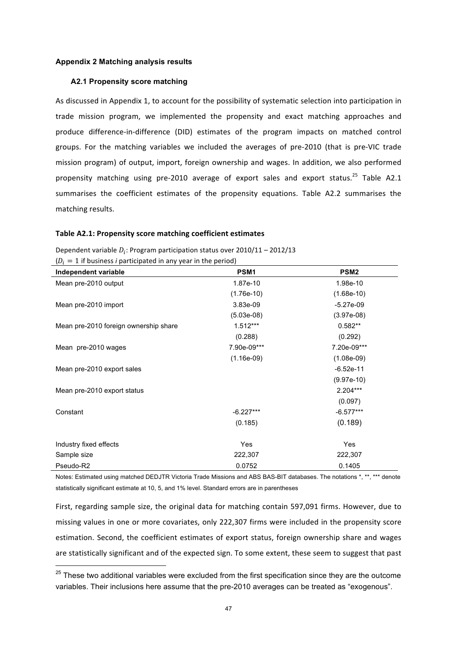#### **Appendix 2 Matching analysis results**

#### **A2.1 Propensity score matching**

As discussed in Appendix 1, to account for the possibility of systematic selection into participation in trade mission program, we implemented the propensity and exact matching approaches and produce difference-in-difference (DID) estimates of the program impacts on matched control groups. For the matching variables we included the averages of pre-2010 (that is pre-VIC trade mission program) of output, import, foreign ownership and wages. In addition, we also performed propensity matching using pre-2010 average of export sales and export status.<sup>25</sup> Table A2.1 summarises the coefficient estimates of the propensity equations. Table A2.2 summarises the matching results.

#### Table A2.1: Propensity score matching coefficient estimates

| $(D_i = 1$ if business <i>i</i> participated in any year in the period) |                  |                  |  |  |  |  |
|-------------------------------------------------------------------------|------------------|------------------|--|--|--|--|
| Independent variable                                                    | PSM <sub>1</sub> | PSM <sub>2</sub> |  |  |  |  |
| Mean pre-2010 output                                                    | 1.87e-10         | 1.98e-10         |  |  |  |  |
|                                                                         | $(1.76e-10)$     | $(1.68e-10)$     |  |  |  |  |
| Mean pre-2010 import                                                    | 3.83e-09         | $-5.27e-09$      |  |  |  |  |
|                                                                         | $(5.03e-08)$     | $(3.97e-08)$     |  |  |  |  |
| Mean pre-2010 foreign ownership share                                   | $1.512***$       | $0.582**$        |  |  |  |  |
|                                                                         | (0.288)          | (0.292)          |  |  |  |  |
| Mean pre-2010 wages                                                     | 7.90e-09***      | 7.20e-09***      |  |  |  |  |
|                                                                         | $(1.16e-09)$     | $(1.08e-09)$     |  |  |  |  |
| Mean pre-2010 export sales                                              |                  | $-6.52e-11$      |  |  |  |  |
|                                                                         |                  | $(9.97e-10)$     |  |  |  |  |
| Mean pre-2010 export status                                             |                  | 2.204***         |  |  |  |  |
|                                                                         |                  | (0.097)          |  |  |  |  |
| Constant                                                                | $-6.227***$      | $-6.577***$      |  |  |  |  |
|                                                                         | (0.185)          | (0.189)          |  |  |  |  |
|                                                                         |                  |                  |  |  |  |  |
| Industry fixed effects                                                  | Yes              | Yes              |  |  |  |  |
| Sample size                                                             | 222,307          | 222,307          |  |  |  |  |
| Pseudo-R2                                                               | 0.0752           | 0.1405           |  |  |  |  |

Dependent variable  $D_i$ : Program participation status over  $2010/11 - 2012/13$ 

Notes: Estimated using matched DEDJTR Victoria Trade Missions and ABS BAS-BIT databases. The notations \*, \*\*, \*\*\* denote statistically significant estimate at 10, 5, and 1% level. Standard errors are in parentheses

First, regarding sample size, the original data for matching contain 597,091 firms. However, due to missing values in one or more covariates, only 222,307 firms were included in the propensity score estimation. Second, the coefficient estimates of export status, foreign ownership share and wages are statistically significant and of the expected sign. To some extent, these seem to suggest that past

 $25$  These two additional variables were excluded from the first specification since they are the outcome variables. Their inclusions here assume that the pre-2010 averages can be treated as "exogenous".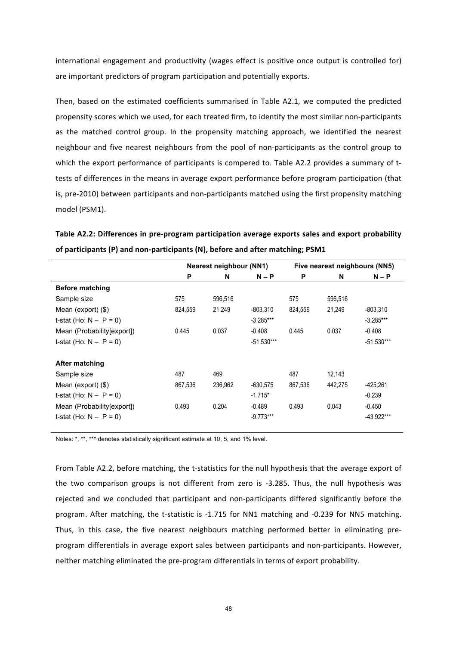international engagement and productivity (wages effect is positive once output is controlled for) are important predictors of program participation and potentially exports.

Then, based on the estimated coefficients summarised in Table A2.1, we computed the predicted propensity scores which we used, for each treated firm, to identify the most similar non-participants as the matched control group. In the propensity matching approach, we identified the nearest neighbour and five nearest neighbours from the pool of non-participants as the control group to which the export performance of participants is compered to. Table A2.2 provides a summary of ttests of differences in the means in average export performance before program participation (that is, pre-2010) between participants and non-participants matched using the first propensity matching model (PSM1).

Table A2.2: Differences in pre-program participation average exports sales and export probability of participants (P) and non-participants (N), before and after matching; PSM1

|                            |         | <b>Nearest neighbour (NN1)</b> |              |         | Five nearest neighbours (NN5) |              |
|----------------------------|---------|--------------------------------|--------------|---------|-------------------------------|--------------|
|                            | P       | N                              | $N - P$      | P       | N                             | $N - P$      |
| <b>Before matching</b>     |         |                                |              |         |                               |              |
| Sample size                | 575     | 596,516                        |              | 575     | 596.516                       |              |
| Mean (export) (\$)         | 824,559 | 21.249                         | $-803,310$   | 824.559 | 21.249                        | -803.310     |
| t-stat (Ho: $N - P = 0$ )  |         |                                | $-3.285***$  |         |                               | $-3.285***$  |
| Mean (Probability[export]) | 0.445   | 0.037                          | $-0.408$     | 0.445   | 0.037                         | $-0.408$     |
| t-stat (Ho: $N - P = 0$ )  |         |                                | $-51.530***$ |         |                               | $-51.530***$ |
| <b>After matching</b>      |         |                                |              |         |                               |              |
| Sample size                | 487     | 469                            |              | 487     | 12,143                        |              |
| Mean (export) (\$)         | 867,536 | 236,962                        | $-630,575$   | 867.536 | 442.275                       | -425.261     |
| t-stat (Ho: $N - P = 0$ )  |         |                                | $-1.715*$    |         |                               | $-0.239$     |
| Mean (Probability[export]) | 0.493   | 0.204                          | $-0.489$     | 0.493   | 0.043                         | $-0.450$     |
| t-stat (Ho: $N - P = 0$ )  |         |                                | $-9.773***$  |         |                               | $-43.922***$ |

Notes: \*, \*\*, \*\*\* denotes statistically significant estimate at 10, 5, and 1% level.

From Table A2.2, before matching, the t-statistics for the null hypothesis that the average export of the two comparison groups is not different from zero is -3.285. Thus, the null hypothesis was rejected and we concluded that participant and non-participants differed significantly before the program. After matching, the t-statistic is -1.715 for NN1 matching and -0.239 for NN5 matching. Thus, in this case, the five nearest neighbours matching performed better in eliminating preprogram differentials in average export sales between participants and non-participants. However, neither matching eliminated the pre-program differentials in terms of export probability.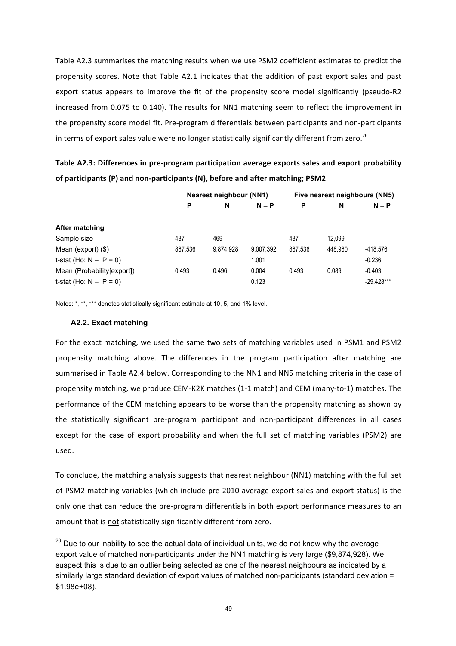Table A2.3 summarises the matching results when we use PSM2 coefficient estimates to predict the propensity scores. Note that Table A2.1 indicates that the addition of past export sales and past export status appears to improve the fit of the propensity score model significantly (pseudo-R2 increased from 0.075 to 0.140). The results for NN1 matching seem to reflect the improvement in the propensity score model fit. Pre-program differentials between participants and non-participants in terms of export sales value were no longer statistically significantly different from zero.<sup>26</sup>

| Table A2.3: Differences in pre-program participation average exports sales and export probability |
|---------------------------------------------------------------------------------------------------|
| of participants (P) and non-participants (N), before and after matching; PSM2                     |

|                            |         | Nearest neighbour (NN1) |           |         |         | Five nearest neighbours (NN5) |
|----------------------------|---------|-------------------------|-----------|---------|---------|-------------------------------|
|                            | P       | N                       | $N - P$   | P       | N       | $N - P$                       |
|                            |         |                         |           |         |         |                               |
| After matching             |         |                         |           |         |         |                               |
| Sample size                | 487     | 469                     |           | 487     | 12,099  |                               |
| Mean (export) $(\$)$       | 867,536 | 9.874.928               | 9,007,392 | 867.536 | 448.960 | -418.576                      |
| t-stat (Ho: $N - P = 0$ )  |         |                         | 1.001     |         |         | $-0.236$                      |
| Mean (Probability[export]) | 0.493   | 0.496                   | 0.004     | 0.493   | 0.089   | $-0.403$                      |
| t-stat (Ho: $N - P = 0$ )  |         |                         | 0.123     |         |         | $-29.428***$                  |
|                            |         |                         |           |         |         |                               |

Notes: \*, \*\*, \*\*\* denotes statistically significant estimate at 10, 5, and 1% level.

#### **A2.2. Exact matching**

For the exact matching, we used the same two sets of matching variables used in PSM1 and PSM2 propensity matching above. The differences in the program participation after matching are summarised in Table A2.4 below. Corresponding to the NN1 and NN5 matching criteria in the case of propensity matching, we produce CEM-K2K matches (1-1 match) and CEM (many-to-1) matches. The performance of the CEM matching appears to be worse than the propensity matching as shown by the statistically significant pre-program participant and non-participant differences in all cases except for the case of export probability and when the full set of matching variables (PSM2) are used.

To conclude, the matching analysis suggests that nearest neighbour (NN1) matching with the full set of PSM2 matching variables (which include pre-2010 average export sales and export status) is the only one that can reduce the pre-program differentials in both export performance measures to an amount that is not statistically significantly different from zero.

 $26$  Due to our inability to see the actual data of individual units, we do not know why the average export value of matched non-participants under the NN1 matching is very large (\$9,874,928). We suspect this is due to an outlier being selected as one of the nearest neighbours as indicated by a similarly large standard deviation of export values of matched non-participants (standard deviation = \$1.98e+08).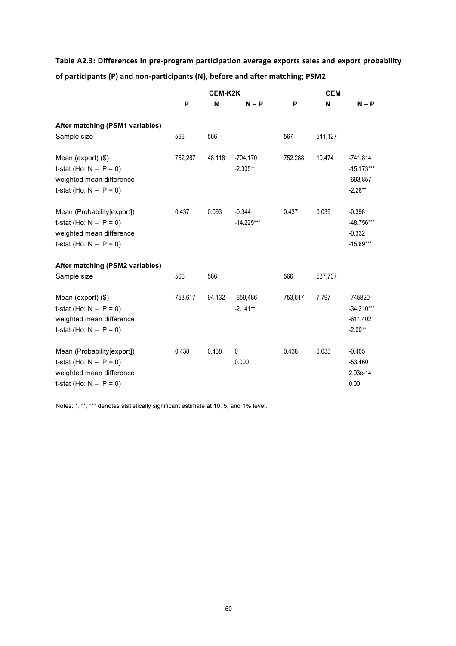|                                                                                                                  |         | <b>CEM-K2K</b> |                          | <b>CEM</b> |         |                                                       |  |
|------------------------------------------------------------------------------------------------------------------|---------|----------------|--------------------------|------------|---------|-------------------------------------------------------|--|
|                                                                                                                  | P       | N              | $N - P$                  | P          | N       | $N - P$                                               |  |
| After matching (PSM1 variables)                                                                                  |         |                |                          |            |         |                                                       |  |
| Sample size                                                                                                      | 566     | 566            |                          | 567        | 541,127 |                                                       |  |
| Mean (export) (\$)<br>t-stat (Ho: $N - P = 0$ )<br>weighted mean difference<br>t-stat (Ho: $N - P = 0$ )         | 752,287 | 48,118         | $-704,170$<br>$-2.305**$ | 752,288    | 10,474  | $-741,814$<br>$-15.173***$<br>$-693.857$<br>$-2.28**$ |  |
| Mean (Probability[export])<br>t-stat (Ho: $N - P = 0$ )<br>weighted mean difference<br>t-stat (Ho: $N - P = 0$ ) | 0.437   | 0.093          | $-0.344$<br>$-14.225***$ | 0.437      | 0.039   | $-0.398$<br>-48.756***<br>$-0.332$<br>$-15.89***$     |  |
| After matching (PSM2 variables)                                                                                  |         |                |                          |            |         |                                                       |  |
| Sample size                                                                                                      | 566     | 566            |                          | 566        | 537,737 |                                                       |  |
| Mean (export) (\$)<br>t-stat (Ho: $N - P = 0$ )<br>weighted mean difference<br>t-stat (Ho: $N - P = 0$ )         | 753,617 | 94,132         | $-659,486$<br>$-2.141**$ | 753,617    | 7,797   | -745820<br>$-34.210***$<br>$-611,402$<br>$-2.00**$    |  |
| Mean (Probability[export])<br>t-stat (Ho: $N - P = 0$ )<br>weighted mean difference<br>t-stat (Ho: $N - P = 0$ ) | 0.438   | 0.438          | 0<br>0.000               | 0.438      | 0.033   | $-0.405$<br>$-53.460$<br>2.93e-14<br>0.00             |  |

Table A2.3: Differences in pre-program participation average exports sales and export probability of participants (P) and non-participants (N), before and after matching; PSM2

Notes: \*, \*\*, \*\*\* denotes statistically significant estimate at 10, 5, and 1% level.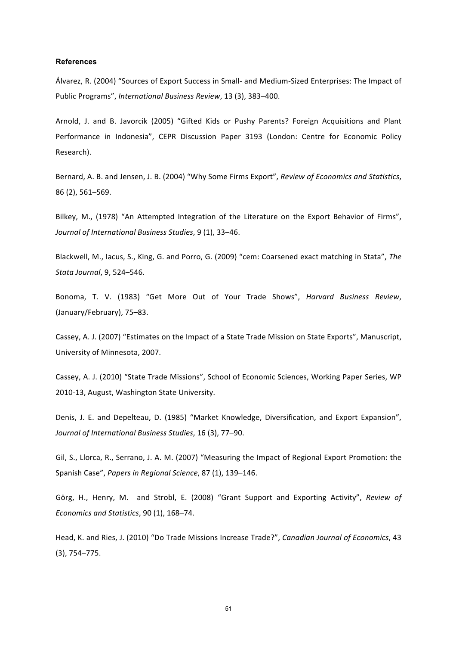#### **References**

Álvarez, R. (2004) "Sources of Export Success in Small- and Medium-Sized Enterprises: The Impact of Public Programs", International Business Review, 13 (3), 383-400.

Arnold, J. and B. Javorcik (2005) "Gifted Kids or Pushy Parents? Foreign Acquisitions and Plant Performance in Indonesia", CEPR Discussion Paper 3193 (London: Centre for Economic Policy Research).

Bernard, A. B. and Jensen, J. B. (2004) "Why Some Firms Export", Review of Economics and Statistics, 86 (2), 561–569.

Bilkey, M., (1978) "An Attempted Integration of the Literature on the Export Behavior of Firms", *Journal of International Business Studies*, 9 (1), 33–46.

Blackwell, M., Iacus, S., King, G. and Porro, G. (2009) "cem: Coarsened exact matching in Stata", The *Stata Journal*, 9, 524–546.

Bonoma, T. V. (1983) "Get More Out of Your Trade Shows", *Harvard Business Review*, (January/February), 75-83.

Cassey, A. J. (2007) "Estimates on the Impact of a State Trade Mission on State Exports", Manuscript, University of Minnesota, 2007.

Cassey, A. J. (2010) "State Trade Missions", School of Economic Sciences, Working Paper Series, WP 2010-13, August, Washington State University.

Denis, J. E. and Depelteau, D. (1985) "Market Knowledge, Diversification, and Export Expansion", *Journal of International Business Studies*, 16 (3), 77–90.

Gil, S., Llorca, R., Serrano, J. A. M. (2007) "Measuring the Impact of Regional Export Promotion: the Spanish Case", Papers in Regional Science, 87 (1), 139-146.

Görg, H., Henry, M. and Strobl, E. (2008) "Grant Support and Exporting Activity", Review of *Economics and Statistics*, 90 (1), 168–74.

Head, K. and Ries, J. (2010) "Do Trade Missions Increase Trade?", *Canadian Journal of Economics*, 43 (3), 754–775.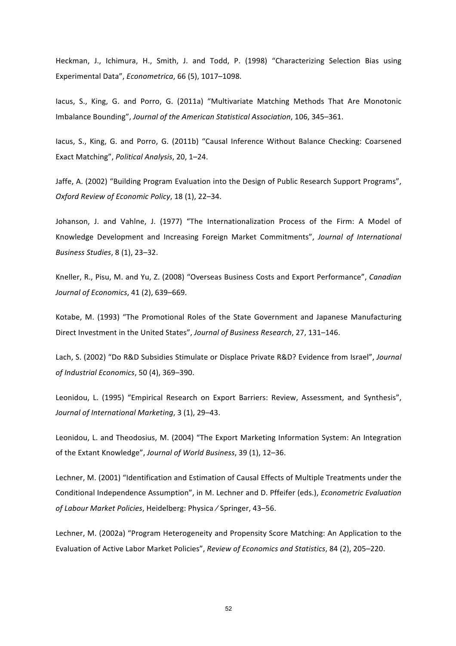Heckman, J., Ichimura, H., Smith, J. and Todd, P. (1998) "Characterizing Selection Bias using Experimental Data", *Econometrica*, 66 (5), 1017-1098.

lacus, S., King, G. and Porro, G. (2011a) "Multivariate Matching Methods That Are Monotonic Imbalance Bounding", *Journal of the American Statistical Association*, 106, 345–361.

lacus, S., King, G. and Porro, G. (2011b) "Causal Inference Without Balance Checking: Coarsened Exact Matching", *Political Analysis*, 20, 1–24.

Jaffe, A. (2002) "Building Program Evaluation into the Design of Public Research Support Programs", *Oxford Review of Economic Policy*, 18 (1), 22–34.

Johanson, J. and Vahlne, J. (1977) "The Internationalization Process of the Firm: A Model of Knowledge Development and Increasing Foreign Market Commitments", *Journal of International Business Studies*, 8 (1), 23–32.

Kneller, R., Pisu, M. and Yu, Z. (2008) "Overseas Business Costs and Export Performance", *Canadian Journal of Economics*, 41 (2), 639–669.

Kotabe, M. (1993) "The Promotional Roles of the State Government and Japanese Manufacturing Direct Investment in the United States", *Journal of Business Research*, 27, 131–146.

Lach, S. (2002) "Do R&D Subsidies Stimulate or Displace Private R&D? Evidence from Israel", *Journal of Industrial Economics*, 50 (4), 369–390.

Leonidou, L. (1995) "Empirical Research on Export Barriers: Review, Assessment, and Synthesis", *Journal of International Marketing*, 3 (1), 29-43.

Leonidou, L. and Theodosius, M. (2004) "The Export Marketing Information System: An Integration of the Extant Knowledge", *Journal of World Business*, 39 (1), 12-36.

Lechner, M. (2001) "Identification and Estimation of Causal Effects of Multiple Treatments under the Conditional Independence Assumption", in M. Lechner and D. Pffeifer (eds.), *Econometric Evaluation* of Labour Market Policies, Heidelberg: Physica / Springer, 43-56.

Lechner, M. (2002a) "Program Heterogeneity and Propensity Score Matching: An Application to the Evaluation of Active Labor Market Policies", Review of Economics and Statistics, 84 (2), 205–220.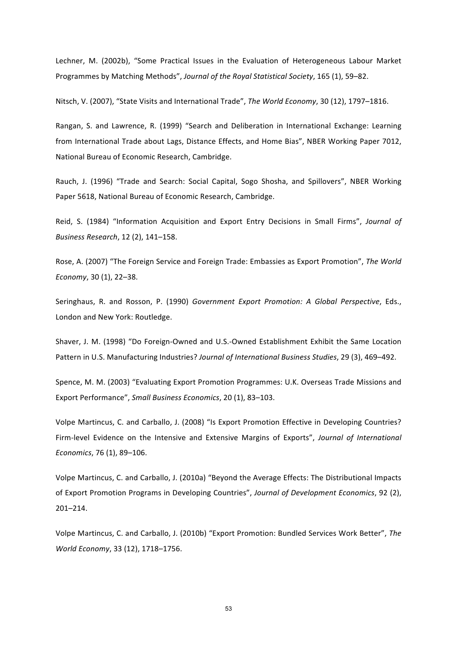Lechner, M. (2002b), "Some Practical Issues in the Evaluation of Heterogeneous Labour Market Programmes by Matching Methods", Journal of the Royal Statistical Society, 165 (1), 59-82.

Nitsch, V. (2007), "State Visits and International Trade", The World Economy, 30 (12), 1797–1816.

Rangan, S. and Lawrence, R. (1999) "Search and Deliberation in International Exchange: Learning from International Trade about Lags, Distance Effects, and Home Bias", NBER Working Paper 7012. National Bureau of Economic Research, Cambridge.

Rauch, J. (1996) "Trade and Search: Social Capital, Sogo Shosha, and Spillovers", NBER Working Paper 5618, National Bureau of Economic Research, Cambridge.

Reid, S. (1984) "Information Acquisition and Export Entry Decisions in Small Firms", Journal of *Business Research*, 12 (2), 141–158.

Rose, A. (2007) "The Foreign Service and Foreign Trade: Embassies as Export Promotion", The World *Economy*, 30 (1), 22-38.

Seringhaus, R. and Rosson, P. (1990) *Government Export Promotion: A Global Perspective*, Eds., London and New York: Routledge.

Shaver, J. M. (1998) "Do Foreign-Owned and U.S.-Owned Establishment Exhibit the Same Location Pattern in U.S. Manufacturing Industries? Journal of International Business Studies, 29 (3), 469-492.

Spence, M. M. (2003) "Evaluating Export Promotion Programmes: U.K. Overseas Trade Missions and Export Performance", Small Business Economics, 20 (1), 83-103.

Volpe Martincus, C. and Carballo, J. (2008) "Is Export Promotion Effective in Developing Countries? Firm-level Evidence on the Intensive and Extensive Margins of Exports", *Journal of International Economics*, 76 (1), 89-106.

Volpe Martincus, C. and Carballo, J. (2010a) "Beyond the Average Effects: The Distributional Impacts of Export Promotion Programs in Developing Countries", *Journal of Development Economics*, 92 (2), 201–214.

Volpe Martincus, C. and Carballo, J. (2010b) "Export Promotion: Bundled Services Work Better", The *World Economy*, 33 (12), 1718–1756.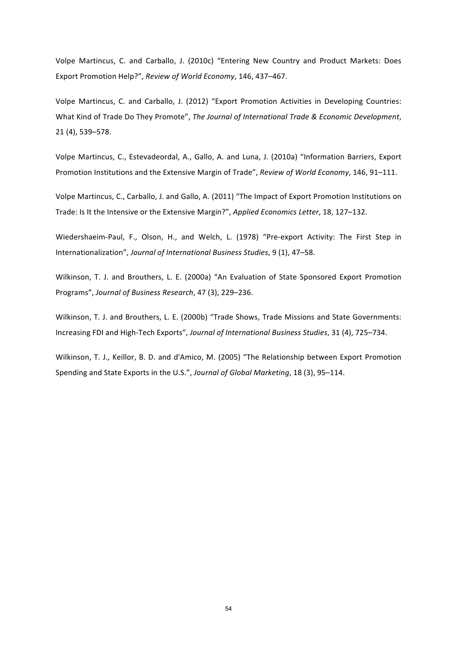Volpe Martincus, C. and Carballo, J. (2010c) "Entering New Country and Product Markets: Does Export Promotion Help?", Review of World Economy, 146, 437-467.

Volpe Martincus, C. and Carballo, J. (2012) "Export Promotion Activities in Developing Countries: What Kind of Trade Do They Promote", *The Journal of International Trade & Economic Development*, 21 (4), 539–578.

Volpe Martincus, C., Estevadeordal, A., Gallo, A. and Luna, J. (2010a) "Information Barriers, Export Promotion Institutions and the Extensive Margin of Trade", *Review of World Economy*, 146, 91-111.

Volpe Martincus, C., Carballo, J. and Gallo, A. (2011) "The Impact of Export Promotion Institutions on Trade: Is It the Intensive or the Extensive Margin?", *Applied Economics Letter*, 18, 127–132.

Wiedershaeim-Paul, F., Olson, H., and Welch, L. (1978) "Pre-export Activity: The First Step in Internationalization", *Journal of International Business Studies*, 9 (1), 47-58.

Wilkinson, T. J. and Brouthers, L. E. (2000a) "An Evaluation of State Sponsored Export Promotion Programs", *Journal of Business Research*, 47 (3), 229–236.

Wilkinson, T. J. and Brouthers, L. E. (2000b) "Trade Shows, Trade Missions and State Governments: Increasing FDI and High-Tech Exports", *Journal of International Business Studies*, 31 (4), 725–734.

Wilkinson, T. J., Keillor, B. D. and d'Amico, M. (2005) "The Relationship between Export Promotion Spending and State Exports in the U.S.", *Journal of Global Marketing*, 18 (3), 95-114.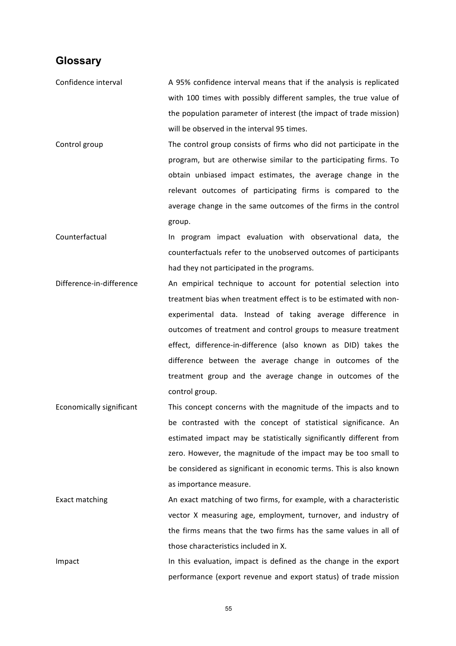### **Glossary**

- Confidence interval **A** 95% confidence interval means that if the analysis is replicated with 100 times with possibly different samples, the true value of the population parameter of interest (the impact of trade mission) will be observed in the interval 95 times.
- Control group The control group consists of firms who did not participate in the program, but are otherwise similar to the participating firms. To obtain unbiased impact estimates, the average change in the relevant outcomes of participating firms is compared to the average change in the same outcomes of the firms in the control group.
- Counterfactual **In program** impact evaluation with observational data, the counterfactuals refer to the unobserved outcomes of participants had they not participated in the programs.
- Difference-in-difference An empirical technique to account for potential selection into treatment bias when treatment effect is to be estimated with nonexperimental data. Instead of taking average difference in outcomes of treatment and control groups to measure treatment effect, difference-in-difference (also known as DID) takes the difference between the average change in outcomes of the treatment group and the average change in outcomes of the control group.
- Economically significant This concept concerns with the magnitude of the impacts and to be contrasted with the concept of statistical significance. An estimated impact may be statistically significantly different from zero. However, the magnitude of the impact may be too small to be considered as significant in economic terms. This is also known as importance measure.
- Exact matching An exact matching of two firms, for example, with a characteristic vector X measuring age, employment, turnover, and industry of the firms means that the two firms has the same values in all of those characteristics included in X.

Impact In this evaluation, impact is defined as the change in the export performance (export revenue and export status) of trade mission